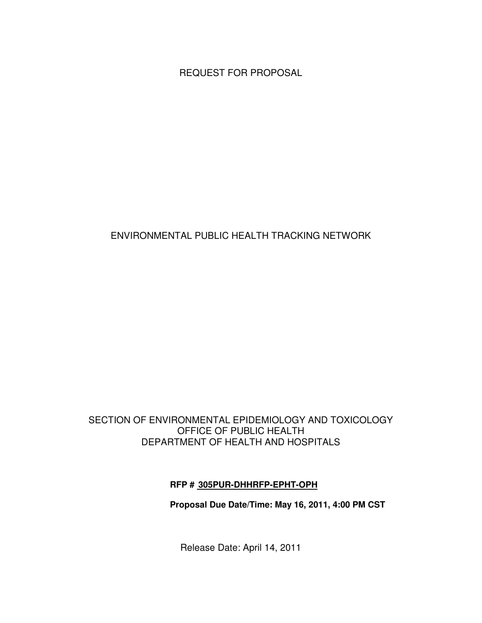REQUEST FOR PROPOSAL

# ENVIRONMENTAL PUBLIC HEALTH TRACKING NETWORK

#### SECTION OF ENVIRONMENTAL EPIDEMIOLOGY AND TOXICOLOGY OFFICE OF PUBLIC HEALTH DEPARTMENT OF HEALTH AND HOSPITALS

### **RFP # 305PUR-DHHRFP-EPHT-OPH**

### **Proposal Due Date/Time: May 16, 2011, 4:00 PM CST**

Release Date: April 14, 2011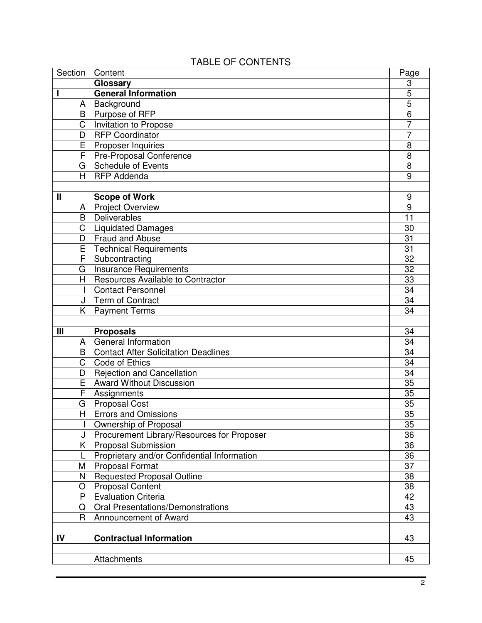| Section                 | Content                                     | Page                |  |  |
|-------------------------|---------------------------------------------|---------------------|--|--|
|                         | Glossary                                    | 3                   |  |  |
|                         | <b>General Information</b>                  | 5                   |  |  |
| A                       | Background                                  | $\overline{5}$<br>6 |  |  |
| B                       | Purpose of RFP                              |                     |  |  |
| $\overline{\text{C}}$   | Invitation to Propose                       |                     |  |  |
| D                       | <b>RFP Coordinator</b>                      | $\overline{7}$      |  |  |
| E                       | Proposer Inquiries                          | 8                   |  |  |
| F                       | <b>Pre-Proposal Conference</b>              | 8                   |  |  |
| G                       | <b>Schedule of Events</b>                   | 8                   |  |  |
| H.                      | <b>RFP Addenda</b>                          | 9                   |  |  |
|                         |                                             |                     |  |  |
| Ш                       | <b>Scope of Work</b>                        | 9                   |  |  |
| A                       | <b>Project Overview</b>                     | 9                   |  |  |
| B                       | Deliverables                                | 11                  |  |  |
| $\overline{\text{C}}$   | <b>Liquidated Damages</b>                   | 30                  |  |  |
| D                       | <b>Fraud and Abuse</b>                      | 31                  |  |  |
| E                       | <b>Technical Requirements</b>               | 31                  |  |  |
| F                       | Subcontracting                              | 32                  |  |  |
| G                       | <b>Insurance Requirements</b>               | 32                  |  |  |
| H.                      | <b>Resources Available to Contractor</b>    | 33                  |  |  |
| L                       | <b>Contact Personnel</b>                    | 34                  |  |  |
| J                       | Term of Contract                            | 34                  |  |  |
|                         | K   Payment Terms                           | 34                  |  |  |
|                         |                                             |                     |  |  |
|                         |                                             |                     |  |  |
|                         |                                             |                     |  |  |
| Ш                       | <b>Proposals</b>                            | 34                  |  |  |
| A                       | General Information                         | 34                  |  |  |
| B                       | <b>Contact After Solicitation Deadlines</b> | 34                  |  |  |
| Ć                       | Code of Ethics                              | 34                  |  |  |
| D                       | <b>Rejection and Cancellation</b>           | 34                  |  |  |
| E                       | <b>Award Without Discussion</b>             | 35                  |  |  |
| F                       | Assignments                                 | 35                  |  |  |
| G                       | <b>Proposal Cost</b>                        | 35                  |  |  |
| $\overline{\mathsf{H}}$ | <b>Errors and Omissions</b>                 | $\overline{35}$     |  |  |
| L                       | Ownership of Proposal                       | 35                  |  |  |
| J                       | Procurement Library/Resources for Proposer  | 36                  |  |  |
| K.                      | <b>Proposal Submission</b>                  | 36                  |  |  |
| L                       | Proprietary and/or Confidential Information | 36                  |  |  |
| Μ                       | <b>Proposal Format</b>                      | 37                  |  |  |
| N                       | <b>Requested Proposal Outline</b>           | 38                  |  |  |
| O                       | <b>Proposal Content</b>                     | 38                  |  |  |
| P                       | <b>Evaluation Criteria</b>                  | 42                  |  |  |
| Q                       | <b>Oral Presentations/Demonstrations</b>    | 43                  |  |  |
| $\mathsf{R}$            | Announcement of Award                       | 43                  |  |  |
|                         |                                             |                     |  |  |
| IV                      | <b>Contractual Information</b>              | 43                  |  |  |
|                         | Attachments                                 | 45                  |  |  |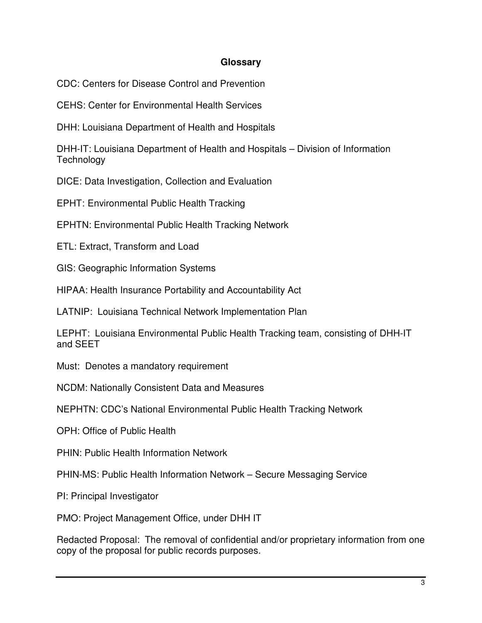#### **Glossary**

CDC: Centers for Disease Control and Prevention

CEHS: Center for Environmental Health Services

DHH: Louisiana Department of Health and Hospitals

DHH-IT: Louisiana Department of Health and Hospitals – Division of Information **Technology** 

DICE: Data Investigation, Collection and Evaluation

EPHT: Environmental Public Health Tracking

EPHTN: Environmental Public Health Tracking Network

ETL: Extract, Transform and Load

GIS: Geographic Information Systems

HIPAA: Health Insurance Portability and Accountability Act

LATNIP: Louisiana Technical Network Implementation Plan

LEPHT: Louisiana Environmental Public Health Tracking team, consisting of DHH-IT and SEET

Must: Denotes a mandatory requirement

NCDM: Nationally Consistent Data and Measures

NEPHTN: CDC's National Environmental Public Health Tracking Network

OPH: Office of Public Health

PHIN: Public Health Information Network

PHIN-MS: Public Health Information Network – Secure Messaging Service

PI: Principal Investigator

PMO: Project Management Office, under DHH IT

Redacted Proposal: The removal of confidential and/or proprietary information from one copy of the proposal for public records purposes.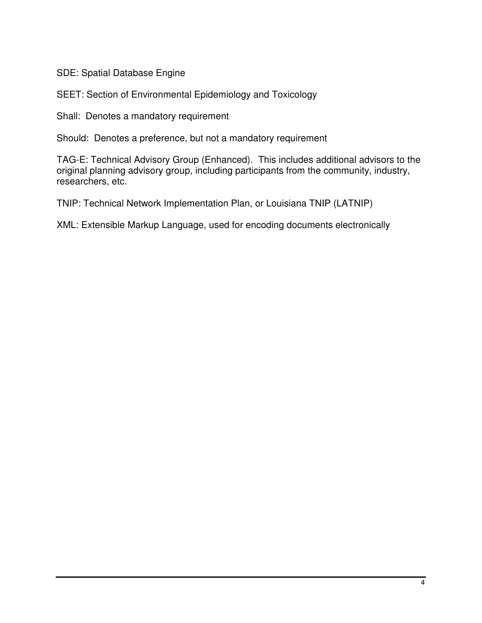SDE: Spatial Database Engine

SEET: Section of Environmental Epidemiology and Toxicology

Shall: Denotes a mandatory requirement

Should: Denotes a preference, but not a mandatory requirement

TAG-E: Technical Advisory Group (Enhanced). This includes additional advisors to the original planning advisory group, including participants from the community, industry, researchers, etc.

TNIP: Technical Network Implementation Plan, or Louisiana TNIP (LATNIP)

XML: Extensible Markup Language, used for encoding documents electronically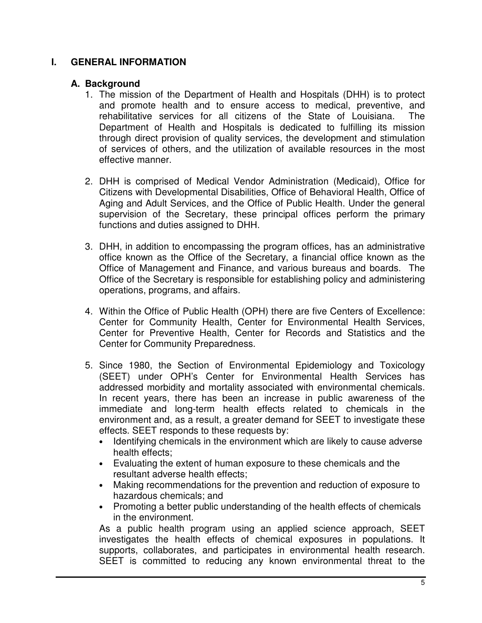### **I. GENERAL INFORMATION**

#### **A. Background**

- 1. The mission of the Department of Health and Hospitals (DHH) is to protect and promote health and to ensure access to medical, preventive, and rehabilitative services for all citizens of the State of Louisiana. The Department of Health and Hospitals is dedicated to fulfilling its mission through direct provision of quality services, the development and stimulation of services of others, and the utilization of available resources in the most effective manner.
- 2. DHH is comprised of Medical Vendor Administration (Medicaid), Office for Citizens with Developmental Disabilities, Office of Behavioral Health, Office of Aging and Adult Services, and the Office of Public Health. Under the general supervision of the Secretary, these principal offices perform the primary functions and duties assigned to DHH.
- 3. DHH, in addition to encompassing the program offices, has an administrative office known as the Office of the Secretary, a financial office known as the Office of Management and Finance, and various bureaus and boards. The Office of the Secretary is responsible for establishing policy and administering operations, programs, and affairs.
- 4. Within the Office of Public Health (OPH) there are five Centers of Excellence: Center for Community Health, Center for Environmental Health Services, Center for Preventive Health, Center for Records and Statistics and the Center for Community Preparedness.
- 5. Since 1980, the Section of Environmental Epidemiology and Toxicology (SEET) under OPH's Center for Environmental Health Services has addressed morbidity and mortality associated with environmental chemicals. In recent years, there has been an increase in public awareness of the immediate and long-term health effects related to chemicals in the environment and, as a result, a greater demand for SEET to investigate these effects. SEET responds to these requests by:
	- Identifying chemicals in the environment which are likely to cause adverse health effects;
	- Evaluating the extent of human exposure to these chemicals and the resultant adverse health effects;
	- Making recommendations for the prevention and reduction of exposure to hazardous chemicals; and
	- Promoting a better public understanding of the health effects of chemicals in the environment.

As a public health program using an applied science approach, SEET investigates the health effects of chemical exposures in populations. It supports, collaborates, and participates in environmental health research. SEET is committed to reducing any known environmental threat to the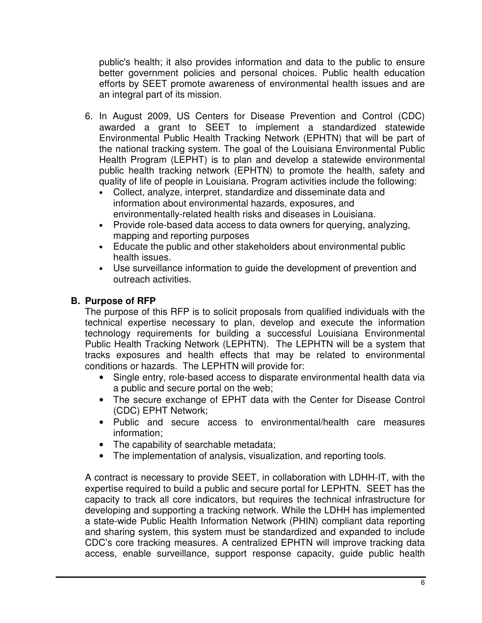public's health; it also provides information and data to the public to ensure better government policies and personal choices. Public health education efforts by SEET promote awareness of environmental health issues and are an integral part of its mission.

- 6. In August 2009, US Centers for Disease Prevention and Control (CDC) awarded a grant to SEET to implement a standardized statewide Environmental Public Health Tracking Network (EPHTN) that will be part of the national tracking system. The goal of the Louisiana Environmental Public Health Program (LEPHT) is to plan and develop a statewide environmental public health tracking network (EPHTN) to promote the health, safety and quality of life of people in Louisiana. Program activities include the following:
	- Collect, analyze, interpret, standardize and disseminate data and information about environmental hazards, exposures, and environmentally-related health risks and diseases in Louisiana.
	- Provide role-based data access to data owners for querying, analyzing, mapping and reporting purposes
	- Educate the public and other stakeholders about environmental public health issues.
	- Use surveillance information to guide the development of prevention and outreach activities.

# **B. Purpose of RFP**

The purpose of this RFP is to solicit proposals from qualified individuals with the technical expertise necessary to plan, develop and execute the information technology requirements for building a successful Louisiana Environmental Public Health Tracking Network (LEPHTN). The LEPHTN will be a system that tracks exposures and health effects that may be related to environmental conditions or hazards. The LEPHTN will provide for:

- Single entry, role-based access to disparate environmental health data via a public and secure portal on the web;
- The secure exchange of EPHT data with the Center for Disease Control (CDC) EPHT Network;
- Public and secure access to environmental/health care measures information;
- The capability of searchable metadata;
- The implementation of analysis, visualization, and reporting tools.

A contract is necessary to provide SEET, in collaboration with LDHH-IT, with the expertise required to build a public and secure portal for LEPHTN. SEET has the capacity to track all core indicators, but requires the technical infrastructure for developing and supporting a tracking network. While the LDHH has implemented a state-wide Public Health Information Network (PHIN) compliant data reporting and sharing system, this system must be standardized and expanded to include CDC's core tracking measures. A centralized EPHTN will improve tracking data access, enable surveillance, support response capacity, guide public health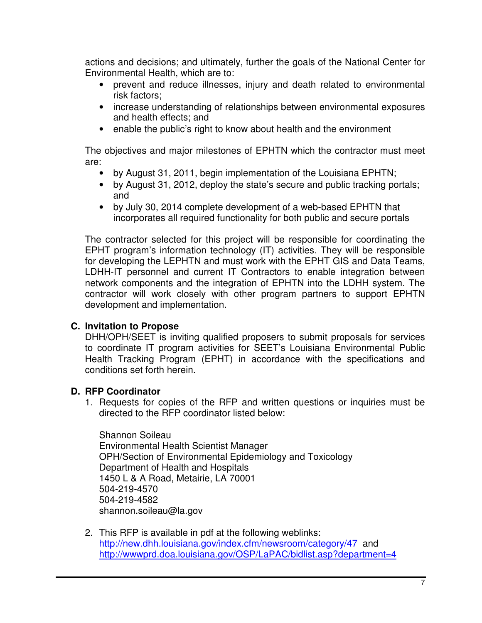actions and decisions; and ultimately, further the goals of the National Center for Environmental Health, which are to:

- prevent and reduce illnesses, injury and death related to environmental risk factors;
- increase understanding of relationships between environmental exposures and health effects; and
- enable the public's right to know about health and the environment

The objectives and major milestones of EPHTN which the contractor must meet are:

- by August 31, 2011, begin implementation of the Louisiana EPHTN;
- by August 31, 2012, deploy the state's secure and public tracking portals; and
- by July 30, 2014 complete development of a web-based EPHTN that incorporates all required functionality for both public and secure portals

The contractor selected for this project will be responsible for coordinating the EPHT program's information technology (IT) activities. They will be responsible for developing the LEPHTN and must work with the EPHT GIS and Data Teams, LDHH-IT personnel and current IT Contractors to enable integration between network components and the integration of EPHTN into the LDHH system. The contractor will work closely with other program partners to support EPHTN development and implementation.

# **C. Invitation to Propose**

DHH/OPH/SEET is inviting qualified proposers to submit proposals for services to coordinate IT program activities for SEET's Louisiana Environmental Public Health Tracking Program (EPHT) in accordance with the specifications and conditions set forth herein.

### **D. RFP Coordinator**

1. Requests for copies of the RFP and written questions or inquiries must be directed to the RFP coordinator listed below:

Shannon Soileau Environmental Health Scientist Manager OPH/Section of Environmental Epidemiology and Toxicology Department of Health and Hospitals 1450 L & A Road, Metairie, LA 70001 504-219-4570 504-219-4582 shannon.soileau@la.gov

2. This RFP is available in pdf at the following weblinks: http://new.dhh.louisiana.gov/index.cfm/newsroom/category/47 and http://wwwprd.doa.louisiana.gov/OSP/LaPAC/bidlist.asp?department=4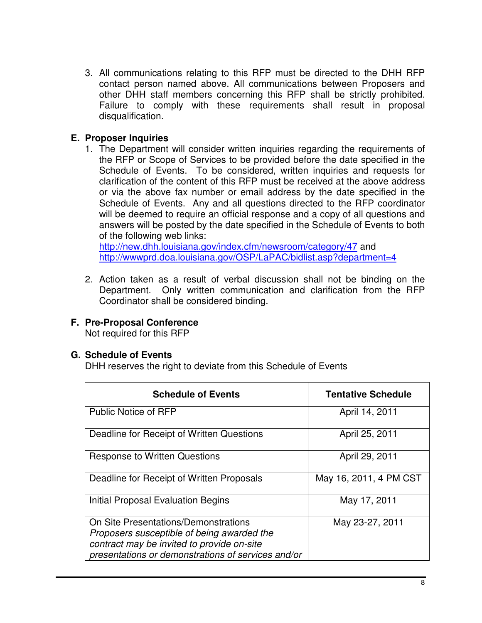3. All communications relating to this RFP must be directed to the DHH RFP contact person named above. All communications between Proposers and other DHH staff members concerning this RFP shall be strictly prohibited. Failure to comply with these requirements shall result in proposal disqualification.

# **E. Proposer Inquiries**

1. The Department will consider written inquiries regarding the requirements of the RFP or Scope of Services to be provided before the date specified in the Schedule of Events. To be considered, written inquiries and requests for clarification of the content of this RFP must be received at the above address or via the above fax number or email address by the date specified in the Schedule of Events. Any and all questions directed to the RFP coordinator will be deemed to require an official response and a copy of all questions and answers will be posted by the date specified in the Schedule of Events to both of the following web links:

http://new.dhh.louisiana.gov/index.cfm/newsroom/category/47 and http://wwwprd.doa.louisiana.gov/OSP/LaPAC/bidlist.asp?department=4

2. Action taken as a result of verbal discussion shall not be binding on the Department. Only written communication and clarification from the RFP Coordinator shall be considered binding.

# **F. Pre-Proposal Conference**

Not required for this RFP

### **G. Schedule of Events**

DHH reserves the right to deviate from this Schedule of Events

| <b>Schedule of Events</b>                                                                                                                                                              | <b>Tentative Schedule</b> |
|----------------------------------------------------------------------------------------------------------------------------------------------------------------------------------------|---------------------------|
| <b>Public Notice of RFP</b>                                                                                                                                                            | April 14, 2011            |
| Deadline for Receipt of Written Questions                                                                                                                                              | April 25, 2011            |
| <b>Response to Written Questions</b>                                                                                                                                                   | April 29, 2011            |
| Deadline for Receipt of Written Proposals                                                                                                                                              | May 16, 2011, 4 PM CST    |
| Initial Proposal Evaluation Begins                                                                                                                                                     | May 17, 2011              |
| On Site Presentations/Demonstrations<br>Proposers susceptible of being awarded the<br>contract may be invited to provide on-site<br>presentations or demonstrations of services and/or | May 23-27, 2011           |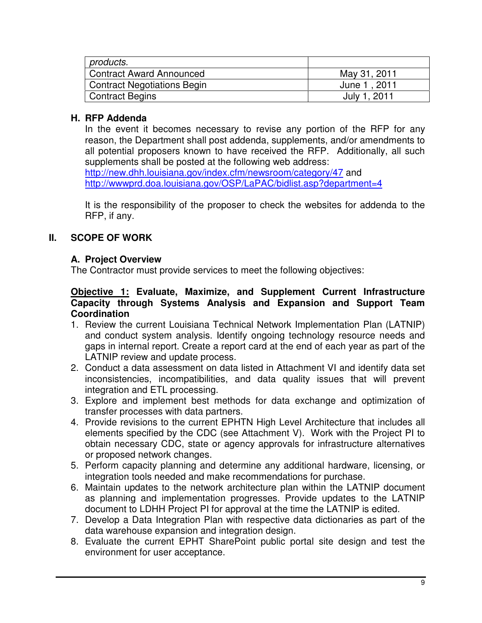| products.                          |              |
|------------------------------------|--------------|
| <b>Contract Award Announced</b>    | May 31, 2011 |
| <b>Contract Negotiations Begin</b> | June 1, 2011 |
| Contract Begins                    | July 1, 2011 |

# **H. RFP Addenda**

In the event it becomes necessary to revise any portion of the RFP for any reason, the Department shall post addenda, supplements, and/or amendments to all potential proposers known to have received the RFP. Additionally, all such supplements shall be posted at the following web address:

http://new.dhh.louisiana.gov/index.cfm/newsroom/category/47 and http://wwwprd.doa.louisiana.gov/OSP/LaPAC/bidlist.asp?department=4

It is the responsibility of the proposer to check the websites for addenda to the RFP, if any.

# **II. SCOPE OF WORK**

### **A. Project Overview**

The Contractor must provide services to meet the following objectives:

#### **Objective 1: Evaluate, Maximize, and Supplement Current Infrastructure Capacity through Systems Analysis and Expansion and Support Team Coordination**

- 1. Review the current Louisiana Technical Network Implementation Plan (LATNIP) and conduct system analysis. Identify ongoing technology resource needs and gaps in internal report. Create a report card at the end of each year as part of the LATNIP review and update process.
- 2. Conduct a data assessment on data listed in Attachment VI and identify data set inconsistencies, incompatibilities, and data quality issues that will prevent integration and ETL processing.
- 3. Explore and implement best methods for data exchange and optimization of transfer processes with data partners.
- 4. Provide revisions to the current EPHTN High Level Architecture that includes all elements specified by the CDC (see Attachment V). Work with the Project PI to obtain necessary CDC, state or agency approvals for infrastructure alternatives or proposed network changes.
- 5. Perform capacity planning and determine any additional hardware, licensing, or integration tools needed and make recommendations for purchase.
- 6. Maintain updates to the network architecture plan within the LATNIP document as planning and implementation progresses. Provide updates to the LATNIP document to LDHH Project PI for approval at the time the LATNIP is edited.
- 7. Develop a Data Integration Plan with respective data dictionaries as part of the data warehouse expansion and integration design.
- 8. Evaluate the current EPHT SharePoint public portal site design and test the environment for user acceptance.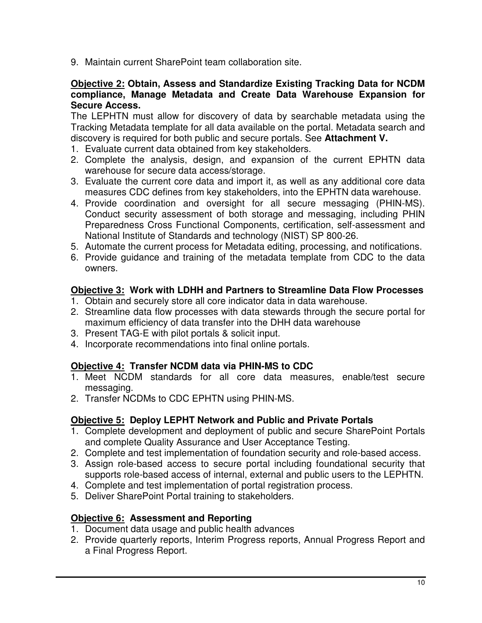9. Maintain current SharePoint team collaboration site.

#### **Objective 2: Obtain, Assess and Standardize Existing Tracking Data for NCDM compliance, Manage Metadata and Create Data Warehouse Expansion for Secure Access.**

The LEPHTN must allow for discovery of data by searchable metadata using the Tracking Metadata template for all data available on the portal. Metadata search and discovery is required for both public and secure portals. See **Attachment V.** 

- 1. Evaluate current data obtained from key stakeholders.
- 2. Complete the analysis, design, and expansion of the current EPHTN data warehouse for secure data access/storage.
- 3. Evaluate the current core data and import it, as well as any additional core data measures CDC defines from key stakeholders, into the EPHTN data warehouse.
- 4. Provide coordination and oversight for all secure messaging (PHIN-MS). Conduct security assessment of both storage and messaging, including PHIN Preparedness Cross Functional Components, certification, self-assessment and National Institute of Standards and technology (NIST) SP 800-26.
- 5. Automate the current process for Metadata editing, processing, and notifications.
- 6. Provide guidance and training of the metadata template from CDC to the data owners.

# **Objective 3: Work with LDHH and Partners to Streamline Data Flow Processes**

- 1. Obtain and securely store all core indicator data in data warehouse.
- 2. Streamline data flow processes with data stewards through the secure portal for maximum efficiency of data transfer into the DHH data warehouse
- 3. Present TAG-E with pilot portals & solicit input.
- 4. Incorporate recommendations into final online portals.

# **Objective 4: Transfer NCDM data via PHIN-MS to CDC**

- 1. Meet NCDM standards for all core data measures, enable/test secure messaging.
- 2. Transfer NCDMs to CDC EPHTN using PHIN-MS.

# **Objective 5: Deploy LEPHT Network and Public and Private Portals**

- 1. Complete development and deployment of public and secure SharePoint Portals and complete Quality Assurance and User Acceptance Testing.
- 2. Complete and test implementation of foundation security and role-based access.
- 3. Assign role-based access to secure portal including foundational security that supports role-based access of internal, external and public users to the LEPHTN.
- 4. Complete and test implementation of portal registration process.
- 5. Deliver SharePoint Portal training to stakeholders.

# **Objective 6: Assessment and Reporting**

- 1. Document data usage and public health advances
- 2. Provide quarterly reports, Interim Progress reports, Annual Progress Report and a Final Progress Report.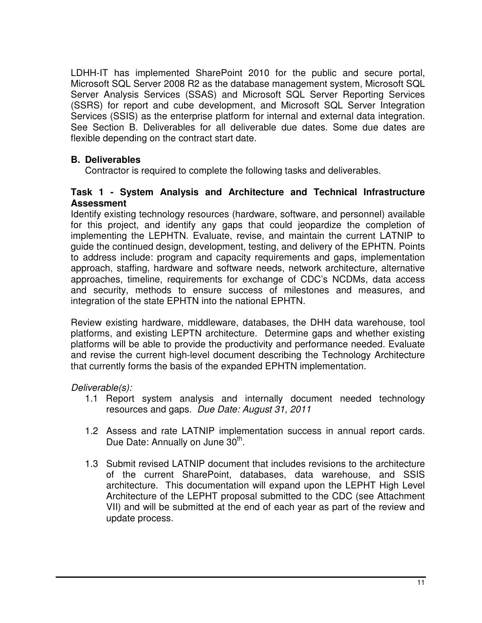LDHH-IT has implemented SharePoint 2010 for the public and secure portal, Microsoft SQL Server 2008 R2 as the database management system, Microsoft SQL Server Analysis Services (SSAS) and Microsoft SQL Server Reporting Services (SSRS) for report and cube development, and Microsoft SQL Server Integration Services (SSIS) as the enterprise platform for internal and external data integration. See Section B. Deliverables for all deliverable due dates. Some due dates are flexible depending on the contract start date.

# **B. Deliverables**

Contractor is required to complete the following tasks and deliverables.

#### **Task 1 - System Analysis and Architecture and Technical Infrastructure Assessment**

Identify existing technology resources (hardware, software, and personnel) available for this project, and identify any gaps that could jeopardize the completion of implementing the LEPHTN. Evaluate, revise, and maintain the current LATNIP to guide the continued design, development, testing, and delivery of the EPHTN. Points to address include: program and capacity requirements and gaps, implementation approach, staffing, hardware and software needs, network architecture, alternative approaches, timeline, requirements for exchange of CDC's NCDMs, data access and security, methods to ensure success of milestones and measures, and integration of the state EPHTN into the national EPHTN.

Review existing hardware, middleware, databases, the DHH data warehouse, tool platforms, and existing LEPTN architecture. Determine gaps and whether existing platforms will be able to provide the productivity and performance needed. Evaluate and revise the current high-level document describing the Technology Architecture that currently forms the basis of the expanded EPHTN implementation.

Deliverable(s):

- 1.1 Report system analysis and internally document needed technology resources and gaps. Due Date: August 31, 2011
- 1.2 Assess and rate LATNIP implementation success in annual report cards. Due Date: Annually on June 30<sup>th</sup>.
- 1.3 Submit revised LATNIP document that includes revisions to the architecture of the current SharePoint, databases, data warehouse, and SSIS architecture. This documentation will expand upon the LEPHT High Level Architecture of the LEPHT proposal submitted to the CDC (see Attachment VII) and will be submitted at the end of each year as part of the review and update process.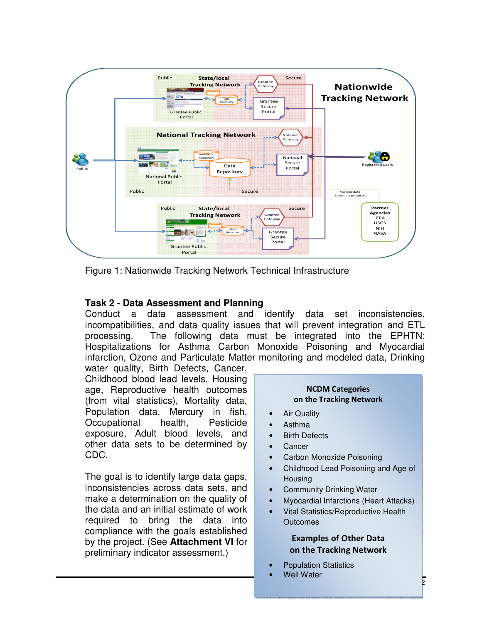

Figure 1: Nationwide Tracking Network Technical Infrastructure

#### **Task 2 - Data Assessment and Planning**

Conduct a data assessment and identify data set inconsistencies, incompatibilities, and data quality issues that will prevent integration and ETL processing. The following data must be integrated into the EPHTN: Hospitalizations for Asthma Carbon Monoxide Poisoning and Myocardial infarction, Ozone and Particulate Matter monitoring and modeled data, Drinking

water quality, Birth Defects, Cancer, Childhood blood lead levels, Housing age, Reproductive health outcomes (from vital statistics), Mortality data, Population data, Mercury in fish, Occupational health, Pesticide exposure, Adult blood levels, and other data sets to be determined by CDC.

The goal is to identify large data gaps, inconsistencies across data sets, and make a determination on the quality of the data and an initial estimate of work required to bring the data into compliance with the goals established by the project. (See **Attachment VI** for preliminary indicator assessment.)

#### NCDM Categories on the Tracking Network

- **Air Quality**
- Asthma
- Birth Defects
- **Cancer**
- Carbon Monoxide Poisoning
- Childhood Lead Poisoning and Age of **Housing**
- Community Drinking Water
- Myocardial Infarctions (Heart Attacks)
- Vital Statistics/Reproductive Health **Outcomes**

#### Examples of Other Data on the Tracking Network

**b** 

- Population Statistics
- **Well Water**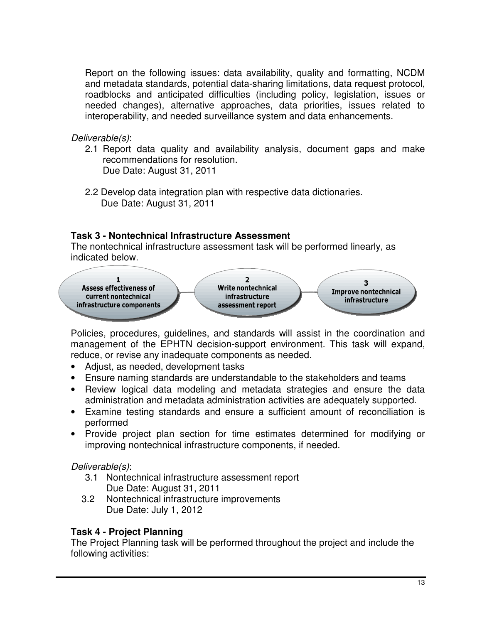Report on the following issues: data availability, quality and formatting, NCDM and metadata standards, potential data-sharing limitations, data request protocol, roadblocks and anticipated difficulties (including policy, legislation, issues or needed changes), alternative approaches, data priorities, issues related to interoperability, and needed surveillance system and data enhancements.

Deliverable(s):

- 2.1 Report data quality and availability analysis, document gaps and make recommendations for resolution. Due Date: August 31, 2011
- 2.2 Develop data integration plan with respective data dictionaries. Due Date: August 31, 2011

# **Task 3 - Nontechnical Infrastructure Assessment**

The nontechnical infrastructure assessment task will be performed linearly, as indicated below.



Policies, procedures, guidelines, and standards will assist in the coordination and management of the EPHTN decision-support environment. This task will expand, reduce, or revise any inadequate components as needed.

- Adjust, as needed, development tasks
- Ensure naming standards are understandable to the stakeholders and teams
- Review logical data modeling and metadata strategies and ensure the data administration and metadata administration activities are adequately supported.
- Examine testing standards and ensure a sufficient amount of reconciliation is performed
- Provide project plan section for time estimates determined for modifying or improving nontechnical infrastructure components, if needed.

# Deliverable(s):

- 3.1 Nontechnical infrastructure assessment report Due Date: August 31, 2011
- 3.2 Nontechnical infrastructure improvements Due Date: July 1, 2012

# **Task 4 - Project Planning**

The Project Planning task will be performed throughout the project and include the following activities: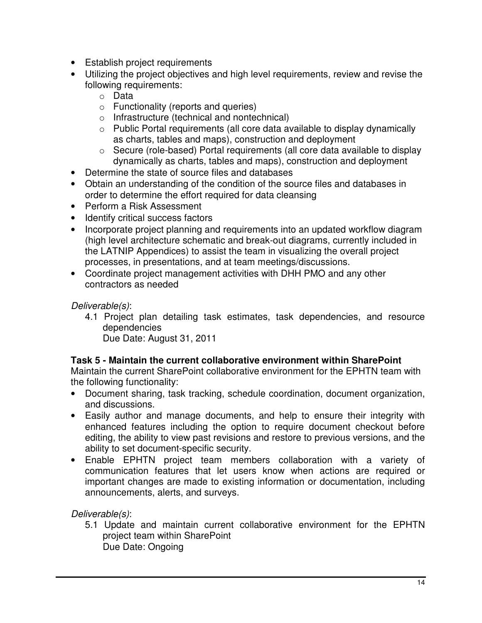- Establish project requirements
- Utilizing the project objectives and high level requirements, review and revise the following requirements:
	- o Data
	- o Functionality (reports and queries)
	- o Infrastructure (technical and nontechnical)
	- o Public Portal requirements (all core data available to display dynamically as charts, tables and maps), construction and deployment
	- o Secure (role-based) Portal requirements (all core data available to display dynamically as charts, tables and maps), construction and deployment
- Determine the state of source files and databases
- Obtain an understanding of the condition of the source files and databases in order to determine the effort required for data cleansing
- Perform a Risk Assessment
- Identify critical success factors
- Incorporate project planning and requirements into an updated workflow diagram (high level architecture schematic and break-out diagrams, currently included in the LATNIP Appendices) to assist the team in visualizing the overall project processes, in presentations, and at team meetings/discussions.
- Coordinate project management activities with DHH PMO and any other contractors as needed

# Deliverable(s):

- 4.1 Project plan detailing task estimates, task dependencies, and resource dependencies
	- Due Date: August 31, 2011

# **Task 5 - Maintain the current collaborative environment within SharePoint**

Maintain the current SharePoint collaborative environment for the EPHTN team with the following functionality:

- Document sharing, task tracking, schedule coordination, document organization, and discussions.
- Easily author and manage documents, and help to ensure their integrity with enhanced features including the option to require document checkout before editing, the ability to view past revisions and restore to previous versions, and the ability to set document-specific security.
- Enable EPHTN project team members collaboration with a variety of communication features that let users know when actions are required or important changes are made to existing information or documentation, including announcements, alerts, and surveys.

# Deliverable(s):

5.1 Update and maintain current collaborative environment for the EPHTN project team within SharePoint Due Date: Ongoing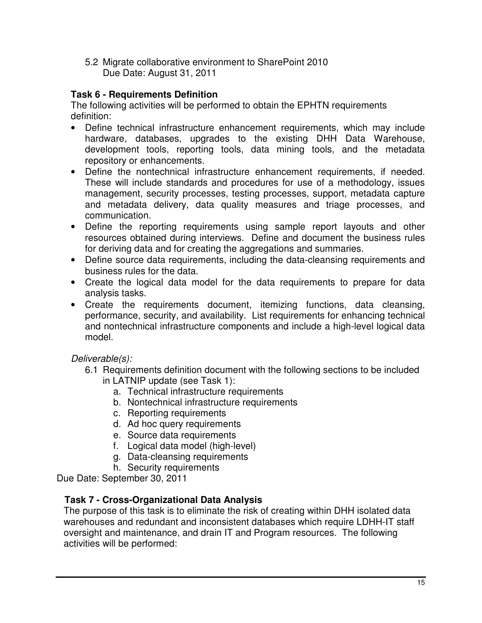5.2 Migrate collaborative environment to SharePoint 2010 Due Date: August 31, 2011

# **Task 6 - Requirements Definition**

The following activities will be performed to obtain the EPHTN requirements definition:

- Define technical infrastructure enhancement requirements, which may include hardware, databases, upgrades to the existing DHH Data Warehouse, development tools, reporting tools, data mining tools, and the metadata repository or enhancements.
- Define the nontechnical infrastructure enhancement requirements, if needed. These will include standards and procedures for use of a methodology, issues management, security processes, testing processes, support, metadata capture and metadata delivery, data quality measures and triage processes, and communication.
- Define the reporting requirements using sample report layouts and other resources obtained during interviews. Define and document the business rules for deriving data and for creating the aggregations and summaries.
- Define source data requirements, including the data-cleansing requirements and business rules for the data.
- Create the logical data model for the data requirements to prepare for data analysis tasks.
- Create the requirements document, itemizing functions, data cleansing, performance, security, and availability. List requirements for enhancing technical and nontechnical infrastructure components and include a high-level logical data model.

Deliverable(s):

- 6.1 Requirements definition document with the following sections to be included in LATNIP update (see Task 1):
	- a. Technical infrastructure requirements
	- b. Nontechnical infrastructure requirements
	- c. Reporting requirements
	- d. Ad hoc query requirements
	- e. Source data requirements
	- f. Logical data model (high-level)
	- g. Data-cleansing requirements
	- h. Security requirements

Due Date: September 30, 2011

# **Task 7 - Cross-Organizational Data Analysis**

The purpose of this task is to eliminate the risk of creating within DHH isolated data warehouses and redundant and inconsistent databases which require LDHH-IT staff oversight and maintenance, and drain IT and Program resources. The following activities will be performed: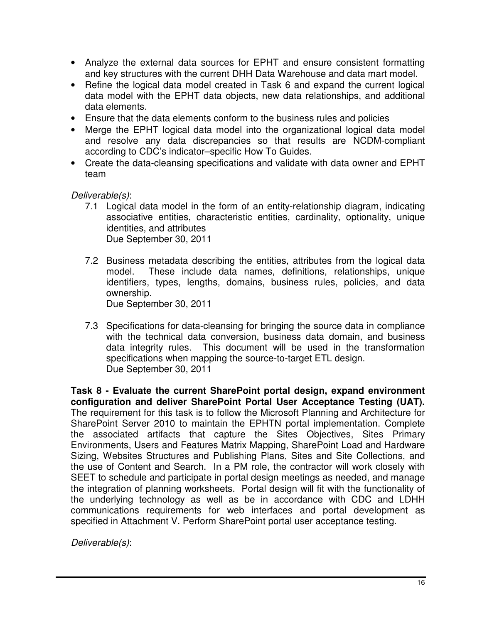- Analyze the external data sources for EPHT and ensure consistent formatting and key structures with the current DHH Data Warehouse and data mart model.
- Refine the logical data model created in Task 6 and expand the current logical data model with the EPHT data objects, new data relationships, and additional data elements.
- Ensure that the data elements conform to the business rules and policies
- Merge the EPHT logical data model into the organizational logical data model and resolve any data discrepancies so that results are NCDM-compliant according to CDC's indicator–specific How To Guides.
- Create the data-cleansing specifications and validate with data owner and EPHT team

Deliverable(s):

- 7.1 Logical data model in the form of an entity-relationship diagram, indicating associative entities, characteristic entities, cardinality, optionality, unique identities, and attributes Due September 30, 2011
- 7.2 Business metadata describing the entities, attributes from the logical data model. These include data names, definitions, relationships, unique identifiers, types, lengths, domains, business rules, policies, and data ownership.

Due September 30, 2011

7.3 Specifications for data-cleansing for bringing the source data in compliance with the technical data conversion, business data domain, and business data integrity rules. This document will be used in the transformation specifications when mapping the source-to-target ETL design. Due September 30, 2011

**Task 8 - Evaluate the current SharePoint portal design, expand environment configuration and deliver SharePoint Portal User Acceptance Testing (UAT).**  The requirement for this task is to follow the Microsoft Planning and Architecture for SharePoint Server 2010 to maintain the EPHTN portal implementation. Complete the associated artifacts that capture the Sites Objectives, Sites Primary Environments, Users and Features Matrix Mapping, SharePoint Load and Hardware Sizing, Websites Structures and Publishing Plans, Sites and Site Collections, and the use of Content and Search. In a PM role, the contractor will work closely with SEET to schedule and participate in portal design meetings as needed, and manage the integration of planning worksheets. Portal design will fit with the functionality of the underlying technology as well as be in accordance with CDC and LDHH communications requirements for web interfaces and portal development as specified in Attachment V. Perform SharePoint portal user acceptance testing.

Deliverable(s):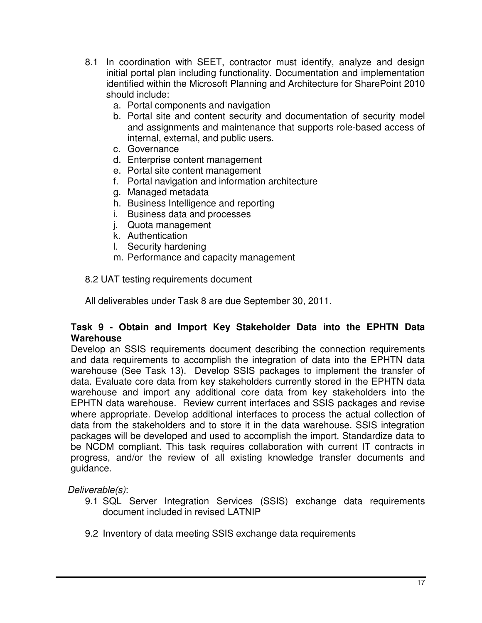- 8.1 In coordination with SEET, contractor must identify, analyze and design initial portal plan including functionality. Documentation and implementation identified within the Microsoft Planning and Architecture for SharePoint 2010 should include:
	- a. Portal components and navigation
	- b. Portal site and content security and documentation of security model and assignments and maintenance that supports role-based access of internal, external, and public users.
	- c. Governance
	- d. Enterprise content management
	- e. Portal site content management
	- f. Portal navigation and information architecture
	- g. Managed metadata
	- h. Business Intelligence and reporting
	- i. Business data and processes
	- j. Quota management
	- k. Authentication
	- l. Security hardening
	- m. Performance and capacity management

8.2 UAT testing requirements document

All deliverables under Task 8 are due September 30, 2011.

#### **Task 9 - Obtain and Import Key Stakeholder Data into the EPHTN Data Warehouse**

Develop an SSIS requirements document describing the connection requirements and data requirements to accomplish the integration of data into the EPHTN data warehouse (See Task 13). Develop SSIS packages to implement the transfer of data. Evaluate core data from key stakeholders currently stored in the EPHTN data warehouse and import any additional core data from key stakeholders into the EPHTN data warehouse. Review current interfaces and SSIS packages and revise where appropriate. Develop additional interfaces to process the actual collection of data from the stakeholders and to store it in the data warehouse. SSIS integration packages will be developed and used to accomplish the import. Standardize data to be NCDM compliant. This task requires collaboration with current IT contracts in progress, and/or the review of all existing knowledge transfer documents and guidance.

Deliverable(s):

- 9.1 SQL Server Integration Services (SSIS) exchange data requirements document included in revised LATNIP
- 9.2 Inventory of data meeting SSIS exchange data requirements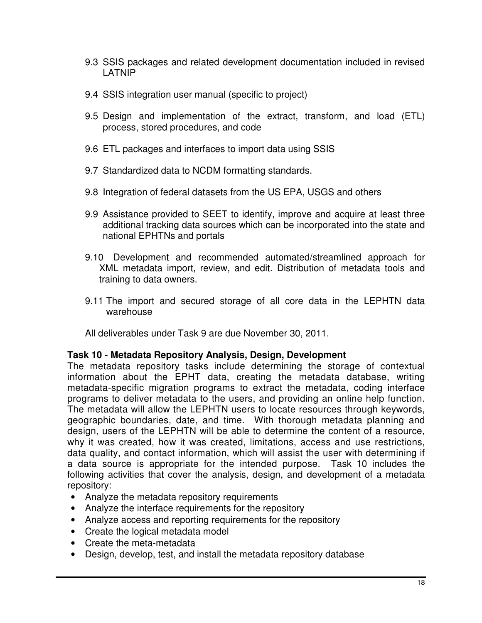- 9.3 SSIS packages and related development documentation included in revised LATNIP
- 9.4 SSIS integration user manual (specific to project)
- 9.5 Design and implementation of the extract, transform, and load (ETL) process, stored procedures, and code
- 9.6 ETL packages and interfaces to import data using SSIS
- 9.7 Standardized data to NCDM formatting standards.
- 9.8 Integration of federal datasets from the US EPA, USGS and others
- 9.9 Assistance provided to SEET to identify, improve and acquire at least three additional tracking data sources which can be incorporated into the state and national EPHTNs and portals
- 9.10 Development and recommended automated/streamlined approach for XML metadata import, review, and edit. Distribution of metadata tools and training to data owners.
- 9.11 The import and secured storage of all core data in the LEPHTN data warehouse

All deliverables under Task 9 are due November 30, 2011.

### **Task 10 - Metadata Repository Analysis, Design, Development**

The metadata repository tasks include determining the storage of contextual information about the EPHT data, creating the metadata database, writing metadata-specific migration programs to extract the metadata, coding interface programs to deliver metadata to the users, and providing an online help function. The metadata will allow the LEPHTN users to locate resources through keywords, geographic boundaries, date, and time. With thorough metadata planning and design, users of the LEPHTN will be able to determine the content of a resource, why it was created, how it was created, limitations, access and use restrictions, data quality, and contact information, which will assist the user with determining if a data source is appropriate for the intended purpose. Task 10 includes the following activities that cover the analysis, design, and development of a metadata repository:

- Analyze the metadata repository requirements
- Analyze the interface requirements for the repository
- Analyze access and reporting requirements for the repository
- Create the logical metadata model
- Create the meta-metadata
- Design, develop, test, and install the metadata repository database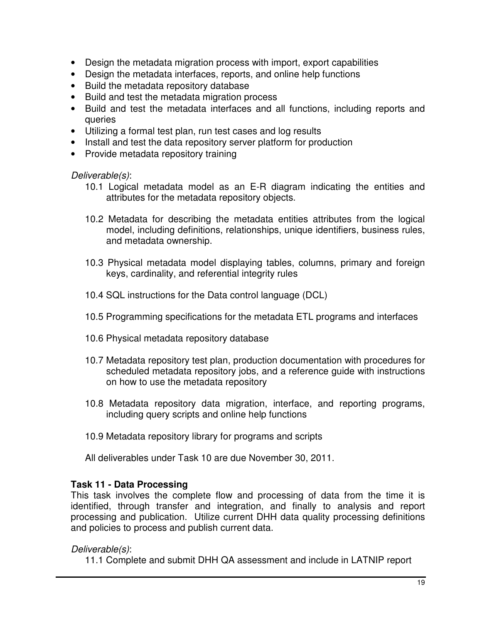- Design the metadata migration process with import, export capabilities
- Design the metadata interfaces, reports, and online help functions
- Build the metadata repository database
- Build and test the metadata migration process
- Build and test the metadata interfaces and all functions, including reports and queries
- Utilizing a formal test plan, run test cases and log results
- Install and test the data repository server platform for production
- Provide metadata repository training

Deliverable(s):

- 10.1 Logical metadata model as an E-R diagram indicating the entities and attributes for the metadata repository objects.
- 10.2 Metadata for describing the metadata entities attributes from the logical model, including definitions, relationships, unique identifiers, business rules, and metadata ownership.
- 10.3 Physical metadata model displaying tables, columns, primary and foreign keys, cardinality, and referential integrity rules
- 10.4 SQL instructions for the Data control language (DCL)
- 10.5 Programming specifications for the metadata ETL programs and interfaces
- 10.6 Physical metadata repository database
- 10.7 Metadata repository test plan, production documentation with procedures for scheduled metadata repository jobs, and a reference guide with instructions on how to use the metadata repository
- 10.8 Metadata repository data migration, interface, and reporting programs, including query scripts and online help functions
- 10.9 Metadata repository library for programs and scripts

All deliverables under Task 10 are due November 30, 2011.

# **Task 11 - Data Processing**

This task involves the complete flow and processing of data from the time it is identified, through transfer and integration, and finally to analysis and report processing and publication. Utilize current DHH data quality processing definitions and policies to process and publish current data.

# Deliverable(s):

11.1 Complete and submit DHH QA assessment and include in LATNIP report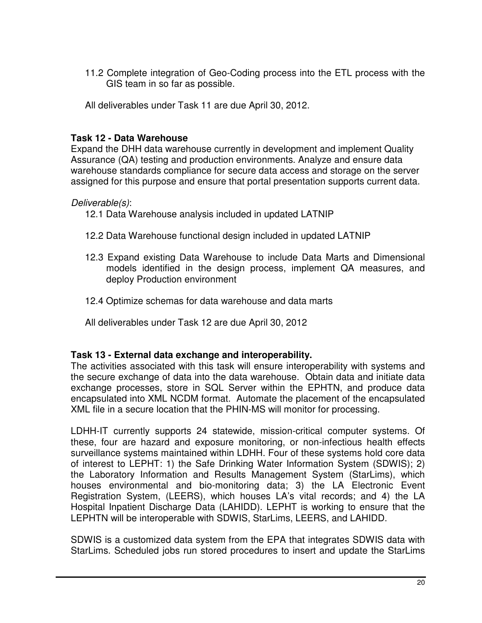11.2 Complete integration of Geo-Coding process into the ETL process with the GIS team in so far as possible.

All deliverables under Task 11 are due April 30, 2012.

### **Task 12 - Data Warehouse**

Expand the DHH data warehouse currently in development and implement Quality Assurance (QA) testing and production environments. Analyze and ensure data warehouse standards compliance for secure data access and storage on the server assigned for this purpose and ensure that portal presentation supports current data.

#### Deliverable(s):

- 12.1 Data Warehouse analysis included in updated LATNIP
- 12.2 Data Warehouse functional design included in updated LATNIP
- 12.3 Expand existing Data Warehouse to include Data Marts and Dimensional models identified in the design process, implement QA measures, and deploy Production environment
- 12.4 Optimize schemas for data warehouse and data marts
- All deliverables under Task 12 are due April 30, 2012

#### **Task 13 - External data exchange and interoperability.**

The activities associated with this task will ensure interoperability with systems and the secure exchange of data into the data warehouse. Obtain data and initiate data exchange processes, store in SQL Server within the EPHTN, and produce data encapsulated into XML NCDM format. Automate the placement of the encapsulated XML file in a secure location that the PHIN-MS will monitor for processing.

LDHH-IT currently supports 24 statewide, mission-critical computer systems. Of these, four are hazard and exposure monitoring, or non-infectious health effects surveillance systems maintained within LDHH. Four of these systems hold core data of interest to LEPHT: 1) the Safe Drinking Water Information System (SDWIS); 2) the Laboratory Information and Results Management System (StarLims), which houses environmental and bio-monitoring data; 3) the LA Electronic Event Registration System, (LEERS), which houses LA's vital records; and 4) the LA Hospital Inpatient Discharge Data (LAHIDD). LEPHT is working to ensure that the LEPHTN will be interoperable with SDWIS, StarLims, LEERS, and LAHIDD.

SDWIS is a customized data system from the EPA that integrates SDWIS data with StarLims. Scheduled jobs run stored procedures to insert and update the StarLims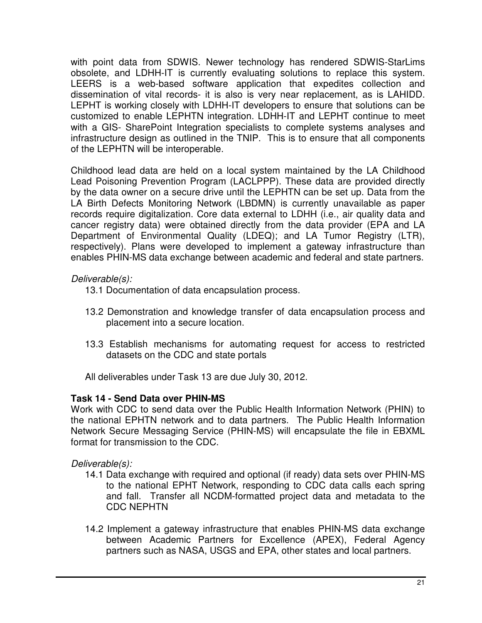with point data from SDWIS. Newer technology has rendered SDWIS-StarLims obsolete, and LDHH-IT is currently evaluating solutions to replace this system. LEERS is a web-based software application that expedites collection and dissemination of vital records- it is also is very near replacement, as is LAHIDD. LEPHT is working closely with LDHH-IT developers to ensure that solutions can be customized to enable LEPHTN integration. LDHH-IT and LEPHT continue to meet with a GIS- SharePoint Integration specialists to complete systems analyses and infrastructure design as outlined in the TNIP. This is to ensure that all components of the LEPHTN will be interoperable.

Childhood lead data are held on a local system maintained by the LA Childhood Lead Poisoning Prevention Program (LACLPPP). These data are provided directly by the data owner on a secure drive until the LEPHTN can be set up. Data from the LA Birth Defects Monitoring Network (LBDMN) is currently unavailable as paper records require digitalization. Core data external to LDHH (i.e., air quality data and cancer registry data) were obtained directly from the data provider (EPA and LA Department of Environmental Quality (LDEQ); and LA Tumor Registry (LTR), respectively). Plans were developed to implement a gateway infrastructure than enables PHIN-MS data exchange between academic and federal and state partners.

### Deliverable(s):

- 13.1 Documentation of data encapsulation process.
- 13.2 Demonstration and knowledge transfer of data encapsulation process and placement into a secure location.
- 13.3 Establish mechanisms for automating request for access to restricted datasets on the CDC and state portals

All deliverables under Task 13 are due July 30, 2012.

### **Task 14 - Send Data over PHIN-MS**

Work with CDC to send data over the Public Health Information Network (PHIN) to the national EPHTN network and to data partners. The Public Health Information Network Secure Messaging Service (PHIN-MS) will encapsulate the file in EBXML format for transmission to the CDC.

Deliverable(s):

- 14.1 Data exchange with required and optional (if ready) data sets over PHIN-MS to the national EPHT Network, responding to CDC data calls each spring and fall. Transfer all NCDM-formatted project data and metadata to the CDC NEPHTN
- 14.2 Implement a gateway infrastructure that enables PHIN-MS data exchange between Academic Partners for Excellence (APEX), Federal Agency partners such as NASA, USGS and EPA, other states and local partners.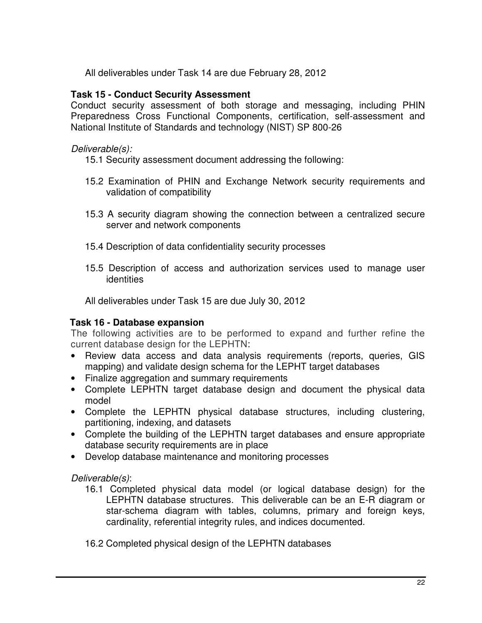All deliverables under Task 14 are due February 28, 2012

#### **Task 15 - Conduct Security Assessment**

Conduct security assessment of both storage and messaging, including PHIN Preparedness Cross Functional Components, certification, self-assessment and National Institute of Standards and technology (NIST) SP 800-26

#### Deliverable(s):

- 15.1 Security assessment document addressing the following:
- 15.2 Examination of PHIN and Exchange Network security requirements and validation of compatibility
- 15.3 A security diagram showing the connection between a centralized secure server and network components
- 15.4 Description of data confidentiality security processes
- 15.5 Description of access and authorization services used to manage user identities

All deliverables under Task 15 are due July 30, 2012

### **Task 16 - Database expansion**

The following activities are to be performed to expand and further refine the current database design for the LEPHTN:

- Review data access and data analysis requirements (reports, queries, GIS mapping) and validate design schema for the LEPHT target databases
- Finalize aggregation and summary requirements
- Complete LEPHTN target database design and document the physical data model
- Complete the LEPHTN physical database structures, including clustering, partitioning, indexing, and datasets
- Complete the building of the LEPHTN target databases and ensure appropriate database security requirements are in place
- Develop database maintenance and monitoring processes

Deliverable(s):

16.1 Completed physical data model (or logical database design) for the LEPHTN database structures. This deliverable can be an E-R diagram or star-schema diagram with tables, columns, primary and foreign keys, cardinality, referential integrity rules, and indices documented.

16.2 Completed physical design of the LEPHTN databases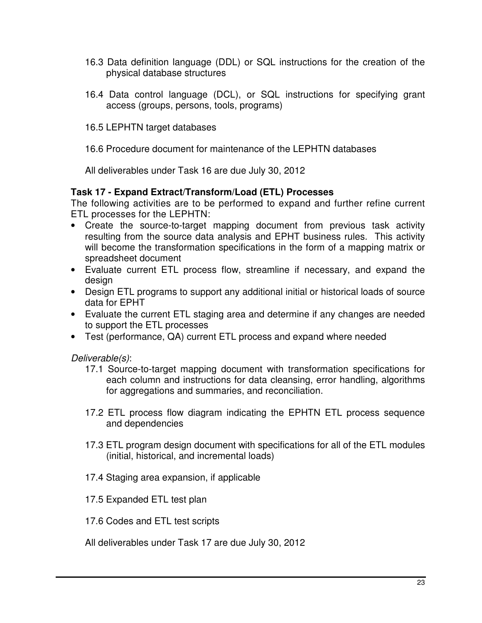- 16.3 Data definition language (DDL) or SQL instructions for the creation of the physical database structures
- 16.4 Data control language (DCL), or SQL instructions for specifying grant access (groups, persons, tools, programs)
- 16.5 LEPHTN target databases

16.6 Procedure document for maintenance of the LEPHTN databases

All deliverables under Task 16 are due July 30, 2012

### **Task 17 - Expand Extract/Transform/Load (ETL) Processes**

The following activities are to be performed to expand and further refine current ETL processes for the LEPHTN:

- Create the source-to-target mapping document from previous task activity resulting from the source data analysis and EPHT business rules. This activity will become the transformation specifications in the form of a mapping matrix or spreadsheet document
- Evaluate current ETL process flow, streamline if necessary, and expand the design
- Design ETL programs to support any additional initial or historical loads of source data for EPHT
- Evaluate the current ETL staging area and determine if any changes are needed to support the ETL processes
- Test (performance, QA) current ETL process and expand where needed

Deliverable(s):

- 17.1 Source-to-target mapping document with transformation specifications for each column and instructions for data cleansing, error handling, algorithms for aggregations and summaries, and reconciliation.
- 17.2 ETL process flow diagram indicating the EPHTN ETL process sequence and dependencies
- 17.3 ETL program design document with specifications for all of the ETL modules (initial, historical, and incremental loads)
- 17.4 Staging area expansion, if applicable
- 17.5 Expanded ETL test plan
- 17.6 Codes and ETL test scripts

All deliverables under Task 17 are due July 30, 2012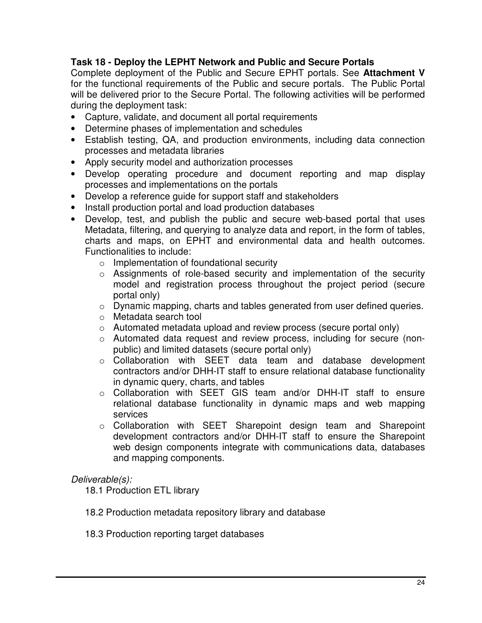# **Task 18 - Deploy the LEPHT Network and Public and Secure Portals**

Complete deployment of the Public and Secure EPHT portals. See **Attachment V** for the functional requirements of the Public and secure portals. The Public Portal will be delivered prior to the Secure Portal. The following activities will be performed during the deployment task:

- Capture, validate, and document all portal requirements
- Determine phases of implementation and schedules
- Establish testing, QA, and production environments, including data connection processes and metadata libraries
- Apply security model and authorization processes
- Develop operating procedure and document reporting and map display processes and implementations on the portals
- Develop a reference guide for support staff and stakeholders
- Install production portal and load production databases
- Develop, test, and publish the public and secure web-based portal that uses Metadata, filtering, and querying to analyze data and report, in the form of tables, charts and maps, on EPHT and environmental data and health outcomes. Functionalities to include:
	- o Implementation of foundational security
	- o Assignments of role-based security and implementation of the security model and registration process throughout the project period (secure portal only)
	- o Dynamic mapping, charts and tables generated from user defined queries.
	- o Metadata search tool
	- o Automated metadata upload and review process (secure portal only)
	- o Automated data request and review process, including for secure (nonpublic) and limited datasets (secure portal only)
	- o Collaboration with SEET data team and database development contractors and/or DHH-IT staff to ensure relational database functionality in dynamic query, charts, and tables
	- o Collaboration with SEET GIS team and/or DHH-IT staff to ensure relational database functionality in dynamic maps and web mapping services
	- o Collaboration with SEET Sharepoint design team and Sharepoint development contractors and/or DHH-IT staff to ensure the Sharepoint web design components integrate with communications data, databases and mapping components.

#### Deliverable(s):

18.1 Production ETL library

- 18.2 Production metadata repository library and database
- 18.3 Production reporting target databases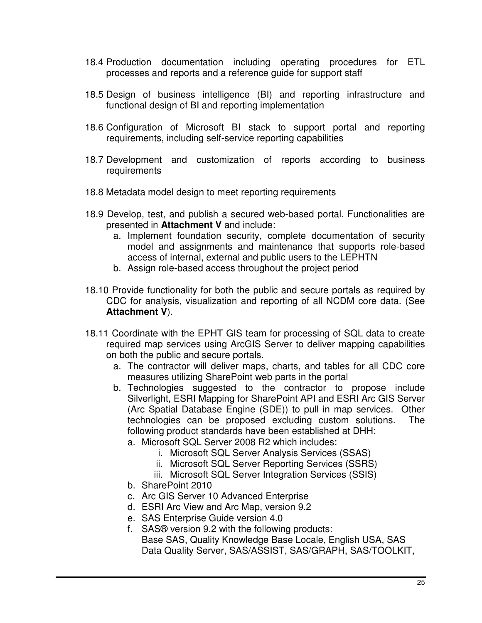- 18.4 Production documentation including operating procedures for ETL processes and reports and a reference guide for support staff
- 18.5 Design of business intelligence (BI) and reporting infrastructure and functional design of BI and reporting implementation
- 18.6 Configuration of Microsoft BI stack to support portal and reporting requirements, including self-service reporting capabilities
- 18.7 Development and customization of reports according to business requirements
- 18.8 Metadata model design to meet reporting requirements
- 18.9 Develop, test, and publish a secured web-based portal. Functionalities are presented in **Attachment V** and include:
	- a. Implement foundation security, complete documentation of security model and assignments and maintenance that supports role-based access of internal, external and public users to the LEPHTN
	- b. Assign role-based access throughout the project period
- 18.10 Provide functionality for both the public and secure portals as required by CDC for analysis, visualization and reporting of all NCDM core data. (See **Attachment V**).
- 18.11 Coordinate with the EPHT GIS team for processing of SQL data to create required map services using ArcGIS Server to deliver mapping capabilities on both the public and secure portals.
	- a. The contractor will deliver maps, charts, and tables for all CDC core measures utilizing SharePoint web parts in the portal
	- b. Technologies suggested to the contractor to propose include Silverlight, ESRI Mapping for SharePoint API and ESRI Arc GIS Server (Arc Spatial Database Engine (SDE)) to pull in map services. Other technologies can be proposed excluding custom solutions. The following product standards have been established at DHH:
		- a. Microsoft SQL Server 2008 R2 which includes:
			- i. Microsoft SQL Server Analysis Services (SSAS)
			- ii. Microsoft SQL Server Reporting Services (SSRS)
			- iii. Microsoft SQL Server Integration Services (SSIS)
		- b. SharePoint 2010
		- c. Arc GIS Server 10 Advanced Enterprise
		- d. ESRI Arc View and Arc Map, version 9.2
		- e. SAS Enterprise Guide version 4.0
		- f. SAS® version 9.2 with the following products: Base SAS, Quality Knowledge Base Locale, English USA, SAS Data Quality Server, SAS/ASSIST, SAS/GRAPH, SAS/TOOLKIT,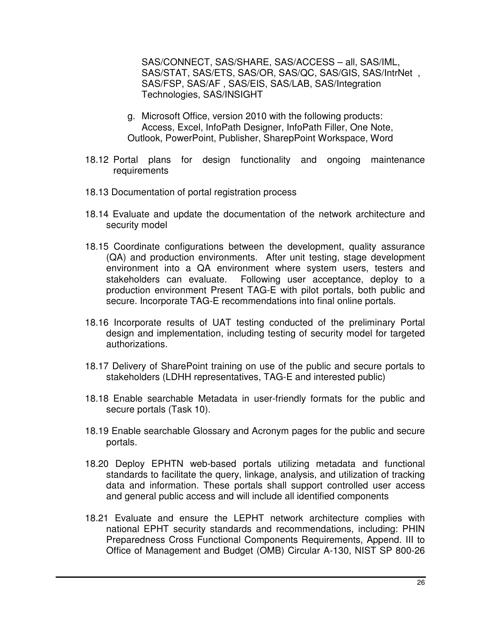SAS/CONNECT, SAS/SHARE, SAS/ACCESS – all, SAS/IML, SAS/STAT, SAS/ETS, SAS/OR, SAS/QC, SAS/GIS, SAS/IntrNet , SAS/FSP, SAS/AF , SAS/EIS, SAS/LAB, SAS/Integration Technologies, SAS/INSIGHT

- g. Microsoft Office, version 2010 with the following products: Access, Excel, InfoPath Designer, InfoPath Filler, One Note, Outlook, PowerPoint, Publisher, SharepPoint Workspace, Word
- 18.12 Portal plans for design functionality and ongoing maintenance requirements
- 18.13 Documentation of portal registration process
- 18.14 Evaluate and update the documentation of the network architecture and security model
- 18.15 Coordinate configurations between the development, quality assurance (QA) and production environments. After unit testing, stage development environment into a QA environment where system users, testers and stakeholders can evaluate. Following user acceptance, deploy to a production environment Present TAG-E with pilot portals, both public and secure. Incorporate TAG-E recommendations into final online portals.
- 18.16 Incorporate results of UAT testing conducted of the preliminary Portal design and implementation, including testing of security model for targeted authorizations.
- 18.17 Delivery of SharePoint training on use of the public and secure portals to stakeholders (LDHH representatives, TAG-E and interested public)
- 18.18 Enable searchable Metadata in user-friendly formats for the public and secure portals (Task 10).
- 18.19 Enable searchable Glossary and Acronym pages for the public and secure portals.
- 18.20 Deploy EPHTN web-based portals utilizing metadata and functional standards to facilitate the query, linkage, analysis, and utilization of tracking data and information. These portals shall support controlled user access and general public access and will include all identified components
- 18.21 Evaluate and ensure the LEPHT network architecture complies with national EPHT security standards and recommendations, including: PHIN Preparedness Cross Functional Components Requirements, Append. III to Office of Management and Budget (OMB) Circular A-130, NIST SP 800-26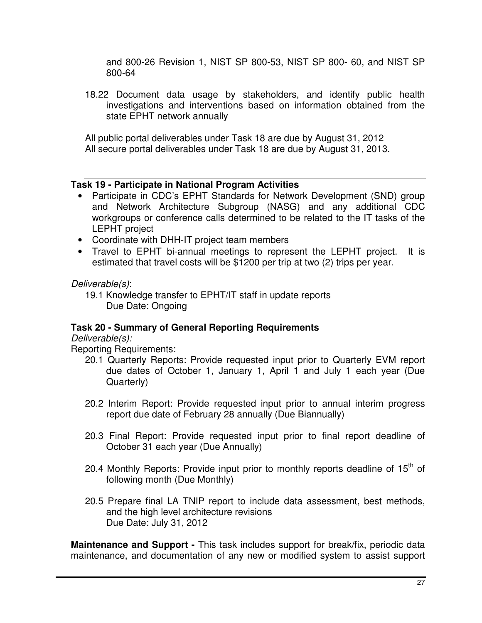and 800-26 Revision 1, NIST SP 800-53, NIST SP 800- 60, and NIST SP 800-64

18.22 Document data usage by stakeholders, and identify public health investigations and interventions based on information obtained from the state EPHT network annually

All public portal deliverables under Task 18 are due by August 31, 2012 All secure portal deliverables under Task 18 are due by August 31, 2013.

### **Task 19 - Participate in National Program Activities**

- Participate in CDC's EPHT Standards for Network Development (SND) group and Network Architecture Subgroup (NASG) and any additional CDC workgroups or conference calls determined to be related to the IT tasks of the LEPHT project
- Coordinate with DHH-IT project team members
- Travel to EPHT bi-annual meetings to represent the LEPHT project. It is estimated that travel costs will be \$1200 per trip at two (2) trips per year.

Deliverable(s):

19.1 Knowledge transfer to EPHT/IT staff in update reports Due Date: Ongoing

# **Task 20 - Summary of General Reporting Requirements**

Deliverable(s):

Reporting Requirements:

- 20.1 Quarterly Reports: Provide requested input prior to Quarterly EVM report due dates of October 1, January 1, April 1 and July 1 each year (Due Quarterly)
- 20.2 Interim Report: Provide requested input prior to annual interim progress report due date of February 28 annually (Due Biannually)
- 20.3 Final Report: Provide requested input prior to final report deadline of October 31 each year (Due Annually)
- 20.4 Monthly Reports: Provide input prior to monthly reports deadline of  $15<sup>th</sup>$  of following month (Due Monthly)
- 20.5 Prepare final LA TNIP report to include data assessment, best methods, and the high level architecture revisions Due Date: July 31, 2012

**Maintenance and Support -** This task includes support for break/fix, periodic data maintenance, and documentation of any new or modified system to assist support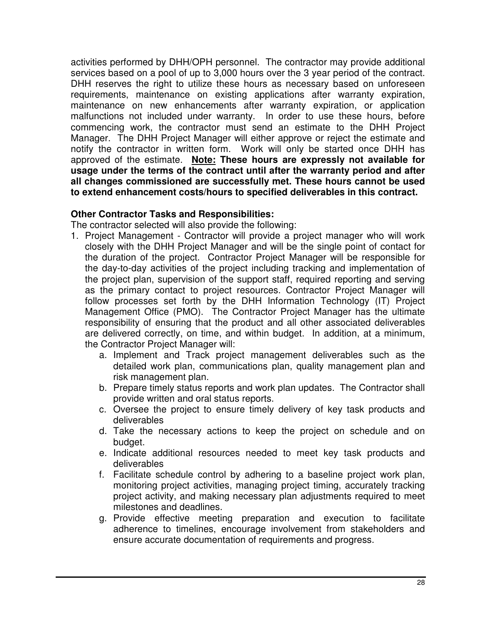activities performed by DHH/OPH personnel. The contractor may provide additional services based on a pool of up to 3,000 hours over the 3 year period of the contract. DHH reserves the right to utilize these hours as necessary based on unforeseen requirements, maintenance on existing applications after warranty expiration, maintenance on new enhancements after warranty expiration, or application malfunctions not included under warranty. In order to use these hours, before commencing work, the contractor must send an estimate to the DHH Project Manager. The DHH Project Manager will either approve or reject the estimate and notify the contractor in written form. Work will only be started once DHH has approved of the estimate. **Note: These hours are expressly not available for usage under the terms of the contract until after the warranty period and after all changes commissioned are successfully met. These hours cannot be used to extend enhancement costs/hours to specified deliverables in this contract.** 

#### **Other Contractor Tasks and Responsibilities:**

The contractor selected will also provide the following:

- 1. Project Management Contractor will provide a project manager who will work closely with the DHH Project Manager and will be the single point of contact for the duration of the project. Contractor Project Manager will be responsible for the day-to-day activities of the project including tracking and implementation of the project plan, supervision of the support staff, required reporting and serving as the primary contact to project resources. Contractor Project Manager will follow processes set forth by the DHH Information Technology (IT) Project Management Office (PMO). The Contractor Project Manager has the ultimate responsibility of ensuring that the product and all other associated deliverables are delivered correctly, on time, and within budget. In addition, at a minimum, the Contractor Project Manager will:
	- a. Implement and Track project management deliverables such as the detailed work plan, communications plan, quality management plan and risk management plan.
	- b. Prepare timely status reports and work plan updates. The Contractor shall provide written and oral status reports.
	- c. Oversee the project to ensure timely delivery of key task products and deliverables
	- d. Take the necessary actions to keep the project on schedule and on budget.
	- e. Indicate additional resources needed to meet key task products and deliverables
	- f. Facilitate schedule control by adhering to a baseline project work plan, monitoring project activities, managing project timing, accurately tracking project activity, and making necessary plan adjustments required to meet milestones and deadlines.
	- g. Provide effective meeting preparation and execution to facilitate adherence to timelines, encourage involvement from stakeholders and ensure accurate documentation of requirements and progress.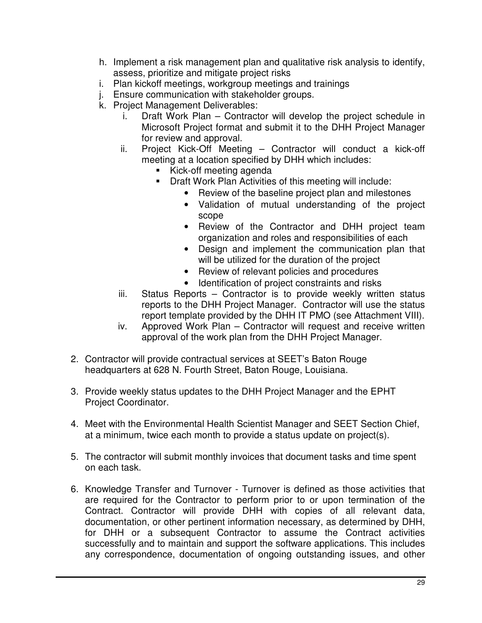- h. Implement a risk management plan and qualitative risk analysis to identify, assess, prioritize and mitigate project risks
- i. Plan kickoff meetings, workgroup meetings and trainings
- j. Ensure communication with stakeholder groups.
- k. Project Management Deliverables:
	- i. Draft Work Plan Contractor will develop the project schedule in Microsoft Project format and submit it to the DHH Project Manager for review and approval.
	- ii. Project Kick-Off Meeting Contractor will conduct a kick-off meeting at a location specified by DHH which includes:
		- Kick-off meeting agenda
		- Draft Work Plan Activities of this meeting will include:
			- Review of the baseline project plan and milestones
			- Validation of mutual understanding of the project scope
			- Review of the Contractor and DHH project team organization and roles and responsibilities of each
			- Design and implement the communication plan that will be utilized for the duration of the project
			- Review of relevant policies and procedures
			- Identification of project constraints and risks
	- iii. Status Reports Contractor is to provide weekly written status reports to the DHH Project Manager. Contractor will use the status report template provided by the DHH IT PMO (see Attachment VIII).
	- iv. Approved Work Plan Contractor will request and receive written approval of the work plan from the DHH Project Manager.
- 2. Contractor will provide contractual services at SEET's Baton Rouge headquarters at 628 N. Fourth Street, Baton Rouge, Louisiana.
- 3. Provide weekly status updates to the DHH Project Manager and the EPHT Project Coordinator.
- 4. Meet with the Environmental Health Scientist Manager and SEET Section Chief, at a minimum, twice each month to provide a status update on project(s).
- 5. The contractor will submit monthly invoices that document tasks and time spent on each task.
- 6. Knowledge Transfer and Turnover Turnover is defined as those activities that are required for the Contractor to perform prior to or upon termination of the Contract. Contractor will provide DHH with copies of all relevant data, documentation, or other pertinent information necessary, as determined by DHH, for DHH or a subsequent Contractor to assume the Contract activities successfully and to maintain and support the software applications. This includes any correspondence, documentation of ongoing outstanding issues, and other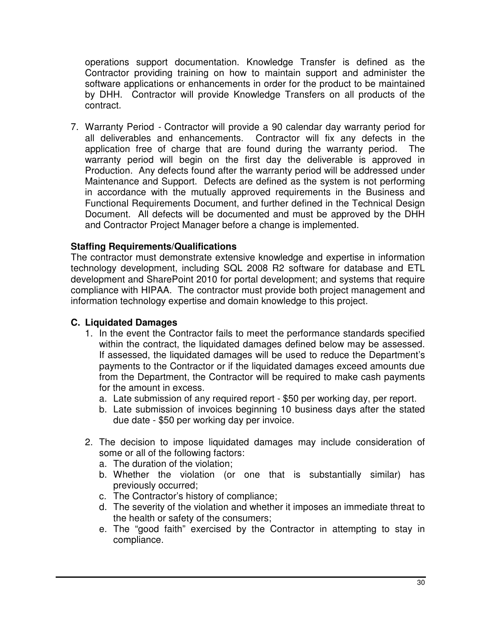operations support documentation. Knowledge Transfer is defined as the Contractor providing training on how to maintain support and administer the software applications or enhancements in order for the product to be maintained by DHH. Contractor will provide Knowledge Transfers on all products of the contract.

7. Warranty Period - Contractor will provide a 90 calendar day warranty period for all deliverables and enhancements. Contractor will fix any defects in the application free of charge that are found during the warranty period. The warranty period will begin on the first day the deliverable is approved in Production. Any defects found after the warranty period will be addressed under Maintenance and Support. Defects are defined as the system is not performing in accordance with the mutually approved requirements in the Business and Functional Requirements Document, and further defined in the Technical Design Document. All defects will be documented and must be approved by the DHH and Contractor Project Manager before a change is implemented.

#### **Staffing Requirements/Qualifications**

The contractor must demonstrate extensive knowledge and expertise in information technology development, including SQL 2008 R2 software for database and ETL development and SharePoint 2010 for portal development; and systems that require compliance with HIPAA. The contractor must provide both project management and information technology expertise and domain knowledge to this project.

#### **C. Liquidated Damages**

- 1. In the event the Contractor fails to meet the performance standards specified within the contract, the liquidated damages defined below may be assessed. If assessed, the liquidated damages will be used to reduce the Department's payments to the Contractor or if the liquidated damages exceed amounts due from the Department, the Contractor will be required to make cash payments for the amount in excess.
	- a. Late submission of any required report \$50 per working day, per report.
	- b. Late submission of invoices beginning 10 business days after the stated due date - \$50 per working day per invoice.
- 2. The decision to impose liquidated damages may include consideration of some or all of the following factors:
	- a. The duration of the violation;
	- b. Whether the violation (or one that is substantially similar) has previously occurred;
	- c. The Contractor's history of compliance;
	- d. The severity of the violation and whether it imposes an immediate threat to the health or safety of the consumers;
	- e. The "good faith" exercised by the Contractor in attempting to stay in compliance.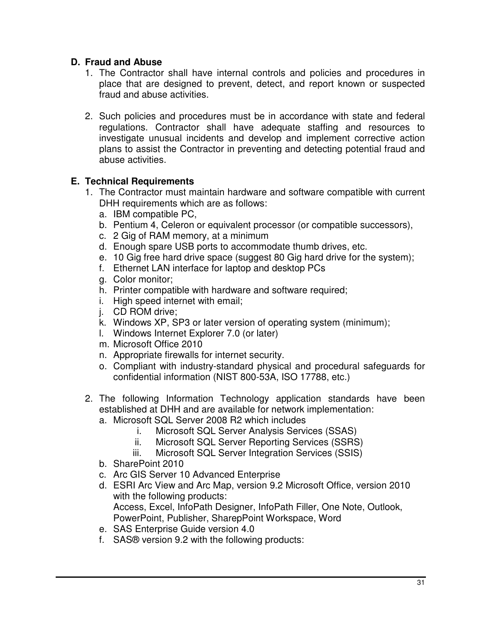# **D. Fraud and Abuse**

- 1. The Contractor shall have internal controls and policies and procedures in place that are designed to prevent, detect, and report known or suspected fraud and abuse activities.
- 2. Such policies and procedures must be in accordance with state and federal regulations. Contractor shall have adequate staffing and resources to investigate unusual incidents and develop and implement corrective action plans to assist the Contractor in preventing and detecting potential fraud and abuse activities.

# **E. Technical Requirements**

- 1. The Contractor must maintain hardware and software compatible with current DHH requirements which are as follows:
	- a. IBM compatible PC,
	- b. Pentium 4, Celeron or equivalent processor (or compatible successors),
	- c. 2 Gig of RAM memory, at a minimum
	- d. Enough spare USB ports to accommodate thumb drives, etc.
	- e. 10 Gig free hard drive space (suggest 80 Gig hard drive for the system);
	- f. Ethernet LAN interface for laptop and desktop PCs
	- g. Color monitor;
	- h. Printer compatible with hardware and software required;
	- i. High speed internet with email;
	- j. CD ROM drive;
	- k. Windows XP, SP3 or later version of operating system (minimum);
	- l. Windows Internet Explorer 7.0 (or later)
	- m. Microsoft Office 2010
	- n. Appropriate firewalls for internet security.
	- o. Compliant with industry-standard physical and procedural safeguards for confidential information (NIST 800-53A, ISO 17788, etc.)
- 2. The following Information Technology application standards have been established at DHH and are available for network implementation:
	- a. Microsoft SQL Server 2008 R2 which includes
		- i. Microsoft SQL Server Analysis Services (SSAS)
		- ii. Microsoft SQL Server Reporting Services (SSRS)
		- iii. Microsoft SQL Server Integration Services (SSIS)
	- b. SharePoint 2010
	- c. Arc GIS Server 10 Advanced Enterprise
	- d. ESRI Arc View and Arc Map, version 9.2 Microsoft Office, version 2010 with the following products: Access, Excel, InfoPath Designer, InfoPath Filler, One Note, Outlook,
		- PowerPoint, Publisher, SharepPoint Workspace, Word
	- e. SAS Enterprise Guide version 4.0
	- f. SAS® version 9.2 with the following products: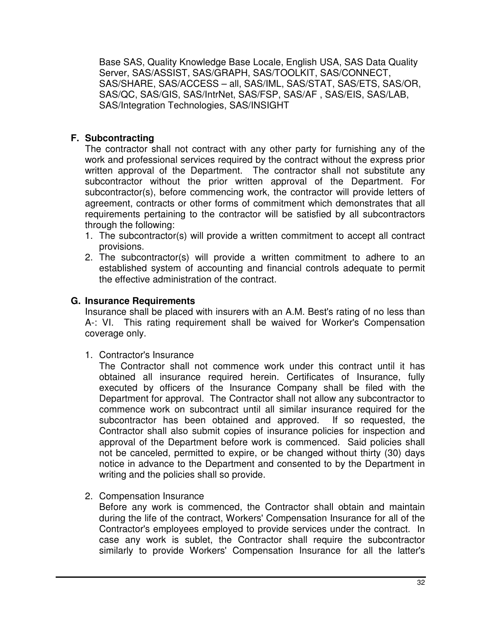Base SAS, Quality Knowledge Base Locale, English USA, SAS Data Quality Server, SAS/ASSIST, SAS/GRAPH, SAS/TOOLKIT, SAS/CONNECT, SAS/SHARE, SAS/ACCESS – all, SAS/IML, SAS/STAT, SAS/ETS, SAS/OR, SAS/QC, SAS/GIS, SAS/IntrNet, SAS/FSP, SAS/AF , SAS/EIS, SAS/LAB, SAS/Integration Technologies, SAS/INSIGHT

# **F. Subcontracting**

The contractor shall not contract with any other party for furnishing any of the work and professional services required by the contract without the express prior written approval of the Department. The contractor shall not substitute any subcontractor without the prior written approval of the Department. For subcontractor(s), before commencing work, the contractor will provide letters of agreement, contracts or other forms of commitment which demonstrates that all requirements pertaining to the contractor will be satisfied by all subcontractors through the following:

- 1. The subcontractor(s) will provide a written commitment to accept all contract provisions.
- 2. The subcontractor(s) will provide a written commitment to adhere to an established system of accounting and financial controls adequate to permit the effective administration of the contract.

# **G. Insurance Requirements**

Insurance shall be placed with insurers with an A.M. Best's rating of no less than A-: VI. This rating requirement shall be waived for Worker's Compensation coverage only.

1. Contractor's Insurance

The Contractor shall not commence work under this contract until it has obtained all insurance required herein. Certificates of Insurance, fully executed by officers of the Insurance Company shall be filed with the Department for approval. The Contractor shall not allow any subcontractor to commence work on subcontract until all similar insurance required for the subcontractor has been obtained and approved. If so requested, the Contractor shall also submit copies of insurance policies for inspection and approval of the Department before work is commenced. Said policies shall not be canceled, permitted to expire, or be changed without thirty (30) days notice in advance to the Department and consented to by the Department in writing and the policies shall so provide.

2. Compensation Insurance

Before any work is commenced, the Contractor shall obtain and maintain during the life of the contract, Workers' Compensation Insurance for all of the Contractor's employees employed to provide services under the contract. In case any work is sublet, the Contractor shall require the subcontractor similarly to provide Workers' Compensation Insurance for all the latter's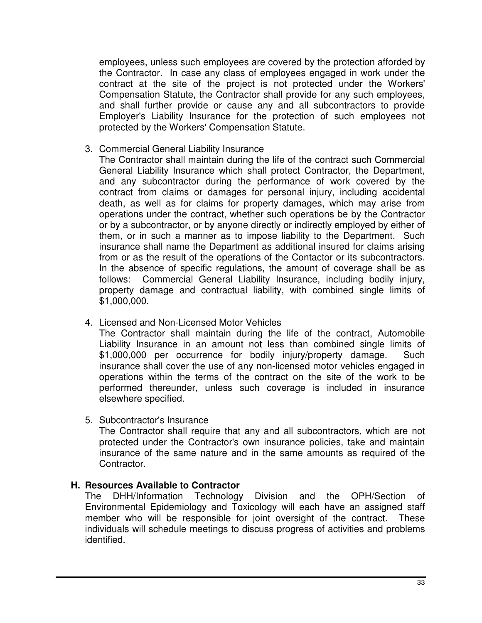employees, unless such employees are covered by the protection afforded by the Contractor. In case any class of employees engaged in work under the contract at the site of the project is not protected under the Workers' Compensation Statute, the Contractor shall provide for any such employees, and shall further provide or cause any and all subcontractors to provide Employer's Liability Insurance for the protection of such employees not protected by the Workers' Compensation Statute.

3. Commercial General Liability Insurance

The Contractor shall maintain during the life of the contract such Commercial General Liability Insurance which shall protect Contractor, the Department, and any subcontractor during the performance of work covered by the contract from claims or damages for personal injury, including accidental death, as well as for claims for property damages, which may arise from operations under the contract, whether such operations be by the Contractor or by a subcontractor, or by anyone directly or indirectly employed by either of them, or in such a manner as to impose liability to the Department. Such insurance shall name the Department as additional insured for claims arising from or as the result of the operations of the Contactor or its subcontractors. In the absence of specific regulations, the amount of coverage shall be as follows: Commercial General Liability Insurance, including bodily injury, property damage and contractual liability, with combined single limits of \$1,000,000.

4. Licensed and Non-Licensed Motor Vehicles

The Contractor shall maintain during the life of the contract, Automobile Liability Insurance in an amount not less than combined single limits of \$1,000,000 per occurrence for bodily injury/property damage. Such insurance shall cover the use of any non-licensed motor vehicles engaged in operations within the terms of the contract on the site of the work to be performed thereunder, unless such coverage is included in insurance elsewhere specified.

5. Subcontractor's Insurance

The Contractor shall require that any and all subcontractors, which are not protected under the Contractor's own insurance policies, take and maintain insurance of the same nature and in the same amounts as required of the Contractor.

### **H. Resources Available to Contractor**

The DHH/Information Technology Division and the OPH/Section of Environmental Epidemiology and Toxicology will each have an assigned staff member who will be responsible for joint oversight of the contract. These individuals will schedule meetings to discuss progress of activities and problems identified.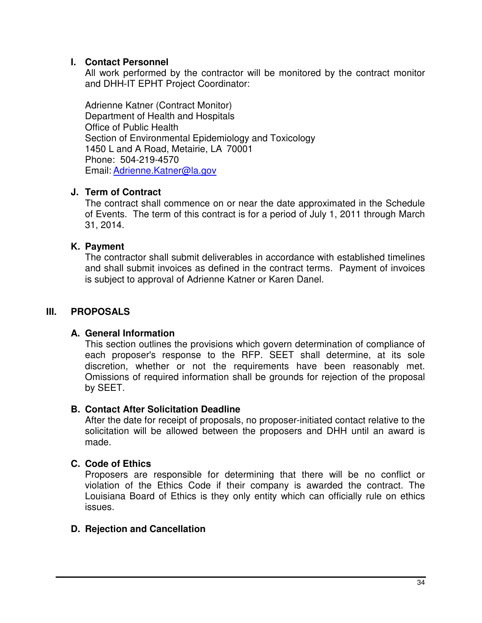### **I. Contact Personnel**

All work performed by the contractor will be monitored by the contract monitor and DHH-IT EPHT Project Coordinator:

Adrienne Katner (Contract Monitor) Department of Health and Hospitals Office of Public Health Section of Environmental Epidemiology and Toxicology 1450 L and A Road, Metairie, LA 70001 Phone: 504-219-4570 Email: Adrienne.Katner@la.gov

### **J. Term of Contract**

The contract shall commence on or near the date approximated in the Schedule of Events. The term of this contract is for a period of July 1, 2011 through March 31, 2014.

#### **K. Payment**

The contractor shall submit deliverables in accordance with established timelines and shall submit invoices as defined in the contract terms. Payment of invoices is subject to approval of Adrienne Katner or Karen Danel.

# **III. PROPOSALS**

### **A. General Information**

This section outlines the provisions which govern determination of compliance of each proposer's response to the RFP. SEET shall determine, at its sole discretion, whether or not the requirements have been reasonably met. Omissions of required information shall be grounds for rejection of the proposal by SEET.

#### **B. Contact After Solicitation Deadline**

After the date for receipt of proposals, no proposer-initiated contact relative to the solicitation will be allowed between the proposers and DHH until an award is made.

### **C. Code of Ethics**

Proposers are responsible for determining that there will be no conflict or violation of the Ethics Code if their company is awarded the contract. The Louisiana Board of Ethics is they only entity which can officially rule on ethics issues.

#### **D. Rejection and Cancellation**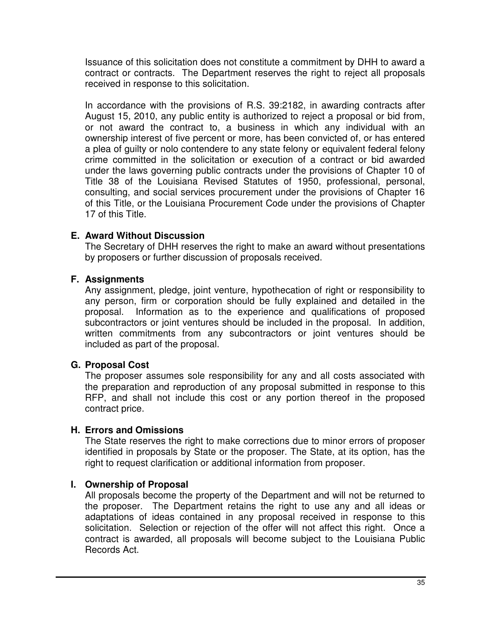Issuance of this solicitation does not constitute a commitment by DHH to award a contract or contracts. The Department reserves the right to reject all proposals received in response to this solicitation.

In accordance with the provisions of R.S. 39:2182, in awarding contracts after August 15, 2010, any public entity is authorized to reject a proposal or bid from, or not award the contract to, a business in which any individual with an ownership interest of five percent or more, has been convicted of, or has entered a plea of guilty or nolo contendere to any state felony or equivalent federal felony crime committed in the solicitation or execution of a contract or bid awarded under the laws governing public contracts under the provisions of Chapter 10 of Title 38 of the Louisiana Revised Statutes of 1950, professional, personal, consulting, and social services procurement under the provisions of Chapter 16 of this Title, or the Louisiana Procurement Code under the provisions of Chapter 17 of this Title.

### **E. Award Without Discussion**

The Secretary of DHH reserves the right to make an award without presentations by proposers or further discussion of proposals received.

### **F. Assignments**

Any assignment, pledge, joint venture, hypothecation of right or responsibility to any person, firm or corporation should be fully explained and detailed in the proposal. Information as to the experience and qualifications of proposed subcontractors or joint ventures should be included in the proposal. In addition, written commitments from any subcontractors or joint ventures should be included as part of the proposal.

### **G. Proposal Cost**

The proposer assumes sole responsibility for any and all costs associated with the preparation and reproduction of any proposal submitted in response to this RFP, and shall not include this cost or any portion thereof in the proposed contract price.

### **H. Errors and Omissions**

The State reserves the right to make corrections due to minor errors of proposer identified in proposals by State or the proposer. The State, at its option, has the right to request clarification or additional information from proposer.

### **I. Ownership of Proposal**

All proposals become the property of the Department and will not be returned to the proposer. The Department retains the right to use any and all ideas or adaptations of ideas contained in any proposal received in response to this solicitation. Selection or rejection of the offer will not affect this right. Once a contract is awarded, all proposals will become subject to the Louisiana Public Records Act.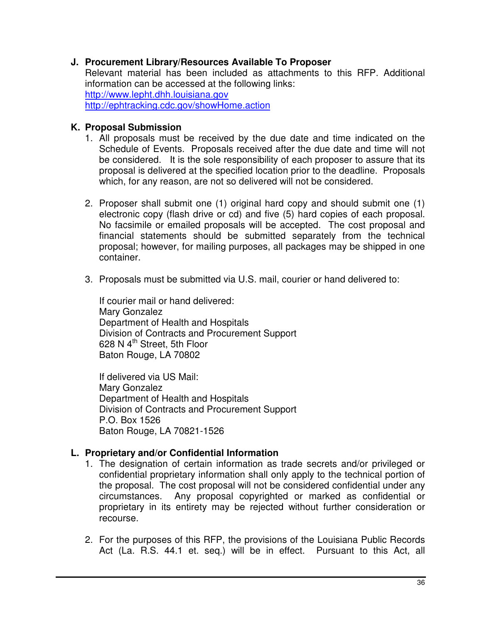### **J. Procurement Library/Resources Available To Proposer**

Relevant material has been included as attachments to this RFP. Additional information can be accessed at the following links: http://www.lepht.dhh.louisiana.gov http://ephtracking.cdc.gov/showHome.action

#### **K. Proposal Submission**

- 1. All proposals must be received by the due date and time indicated on the Schedule of Events. Proposals received after the due date and time will not be considered. It is the sole responsibility of each proposer to assure that its proposal is delivered at the specified location prior to the deadline. Proposals which, for any reason, are not so delivered will not be considered.
- 2. Proposer shall submit one (1) original hard copy and should submit one (1) electronic copy (flash drive or cd) and five (5) hard copies of each proposal. No facsimile or emailed proposals will be accepted. The cost proposal and financial statements should be submitted separately from the technical proposal; however, for mailing purposes, all packages may be shipped in one container.
- 3. Proposals must be submitted via U.S. mail, courier or hand delivered to:

If courier mail or hand delivered: Mary Gonzalez Department of Health and Hospitals Division of Contracts and Procurement Support 628 N 4<sup>th</sup> Street, 5th Floor Baton Rouge, LA 70802

If delivered via US Mail: Mary Gonzalez Department of Health and Hospitals Division of Contracts and Procurement Support P.O. Box 1526 Baton Rouge, LA 70821-1526

### **L. Proprietary and/or Confidential Information**

- 1. The designation of certain information as trade secrets and/or privileged or confidential proprietary information shall only apply to the technical portion of the proposal. The cost proposal will not be considered confidential under any circumstances. Any proposal copyrighted or marked as confidential or proprietary in its entirety may be rejected without further consideration or recourse.
- 2. For the purposes of this RFP, the provisions of the Louisiana Public Records Act (La. R.S. 44.1 et. seq.) will be in effect. Pursuant to this Act, all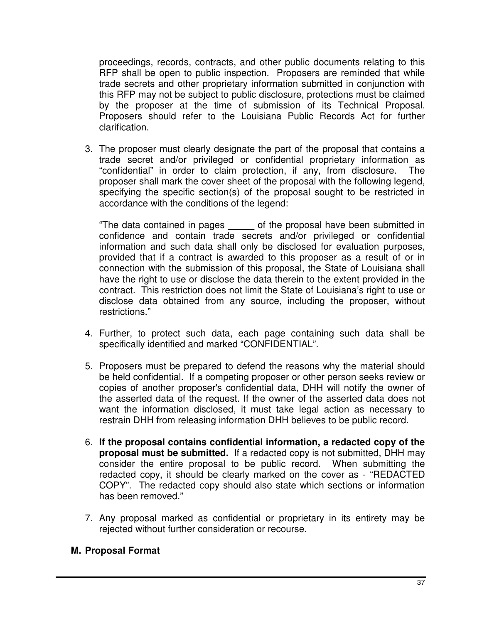proceedings, records, contracts, and other public documents relating to this RFP shall be open to public inspection. Proposers are reminded that while trade secrets and other proprietary information submitted in conjunction with this RFP may not be subject to public disclosure, protections must be claimed by the proposer at the time of submission of its Technical Proposal. Proposers should refer to the Louisiana Public Records Act for further clarification.

3. The proposer must clearly designate the part of the proposal that contains a trade secret and/or privileged or confidential proprietary information as "confidential" in order to claim protection, if any, from disclosure. The proposer shall mark the cover sheet of the proposal with the following legend, specifying the specific section(s) of the proposal sought to be restricted in accordance with the conditions of the legend:

"The data contained in pages \_\_\_\_\_ of the proposal have been submitted in confidence and contain trade secrets and/or privileged or confidential information and such data shall only be disclosed for evaluation purposes, provided that if a contract is awarded to this proposer as a result of or in connection with the submission of this proposal, the State of Louisiana shall have the right to use or disclose the data therein to the extent provided in the contract. This restriction does not limit the State of Louisiana's right to use or disclose data obtained from any source, including the proposer, without restrictions."

- 4. Further, to protect such data, each page containing such data shall be specifically identified and marked "CONFIDENTIAL".
- 5. Proposers must be prepared to defend the reasons why the material should be held confidential. If a competing proposer or other person seeks review or copies of another proposer's confidential data, DHH will notify the owner of the asserted data of the request. If the owner of the asserted data does not want the information disclosed, it must take legal action as necessary to restrain DHH from releasing information DHH believes to be public record.
- 6. **If the proposal contains confidential information, a redacted copy of the proposal must be submitted.** If a redacted copy is not submitted, DHH may consider the entire proposal to be public record. When submitting the redacted copy, it should be clearly marked on the cover as - "REDACTED COPY". The redacted copy should also state which sections or information has been removed."
- 7. Any proposal marked as confidential or proprietary in its entirety may be rejected without further consideration or recourse.

### **M. Proposal Format**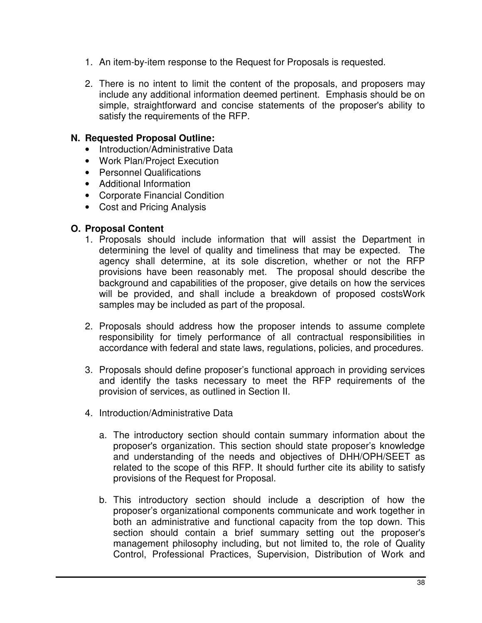- 1. An item-by-item response to the Request for Proposals is requested.
- 2. There is no intent to limit the content of the proposals, and proposers may include any additional information deemed pertinent. Emphasis should be on simple, straightforward and concise statements of the proposer's ability to satisfy the requirements of the RFP.

#### **N. Requested Proposal Outline:**

- Introduction/Administrative Data
- Work Plan/Project Execution
- Personnel Qualifications
- Additional Information
- Corporate Financial Condition
- Cost and Pricing Analysis

#### **O. Proposal Content**

- 1. Proposals should include information that will assist the Department in determining the level of quality and timeliness that may be expected. The agency shall determine, at its sole discretion, whether or not the RFP provisions have been reasonably met. The proposal should describe the background and capabilities of the proposer, give details on how the services will be provided, and shall include a breakdown of proposed costsWork samples may be included as part of the proposal.
- 2. Proposals should address how the proposer intends to assume complete responsibility for timely performance of all contractual responsibilities in accordance with federal and state laws, regulations, policies, and procedures.
- 3. Proposals should define proposer's functional approach in providing services and identify the tasks necessary to meet the RFP requirements of the provision of services, as outlined in Section II.
- 4. Introduction/Administrative Data
	- a. The introductory section should contain summary information about the proposer's organization. This section should state proposer's knowledge and understanding of the needs and objectives of DHH/OPH/SEET as related to the scope of this RFP. It should further cite its ability to satisfy provisions of the Request for Proposal.
	- b. This introductory section should include a description of how the proposer's organizational components communicate and work together in both an administrative and functional capacity from the top down. This section should contain a brief summary setting out the proposer's management philosophy including, but not limited to, the role of Quality Control, Professional Practices, Supervision, Distribution of Work and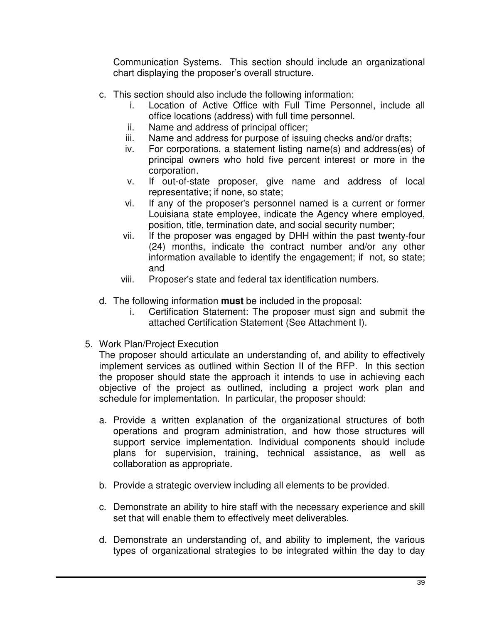Communication Systems. This section should include an organizational chart displaying the proposer's overall structure.

- c. This section should also include the following information:
	- i. Location of Active Office with Full Time Personnel, include all office locations (address) with full time personnel.
	- ii. Name and address of principal officer;
	- iii. Name and address for purpose of issuing checks and/or drafts;
	- iv. For corporations, a statement listing name(s) and address(es) of principal owners who hold five percent interest or more in the corporation.
	- v. If out-of-state proposer, give name and address of local representative; if none, so state;
	- vi. If any of the proposer's personnel named is a current or former Louisiana state employee, indicate the Agency where employed, position, title, termination date, and social security number;
	- vii. If the proposer was engaged by DHH within the past twenty-four (24) months, indicate the contract number and/or any other information available to identify the engagement; if not, so state; and
	- viii. Proposer's state and federal tax identification numbers.
- d. The following information **must** be included in the proposal:
	- i. Certification Statement: The proposer must sign and submit the attached Certification Statement (See Attachment I).
- 5. Work Plan/Project Execution

The proposer should articulate an understanding of, and ability to effectively implement services as outlined within Section II of the RFP. In this section the proposer should state the approach it intends to use in achieving each objective of the project as outlined, including a project work plan and schedule for implementation. In particular, the proposer should:

- a. Provide a written explanation of the organizational structures of both operations and program administration, and how those structures will support service implementation. Individual components should include plans for supervision, training, technical assistance, as well as collaboration as appropriate.
- b. Provide a strategic overview including all elements to be provided.
- c. Demonstrate an ability to hire staff with the necessary experience and skill set that will enable them to effectively meet deliverables.
- d. Demonstrate an understanding of, and ability to implement, the various types of organizational strategies to be integrated within the day to day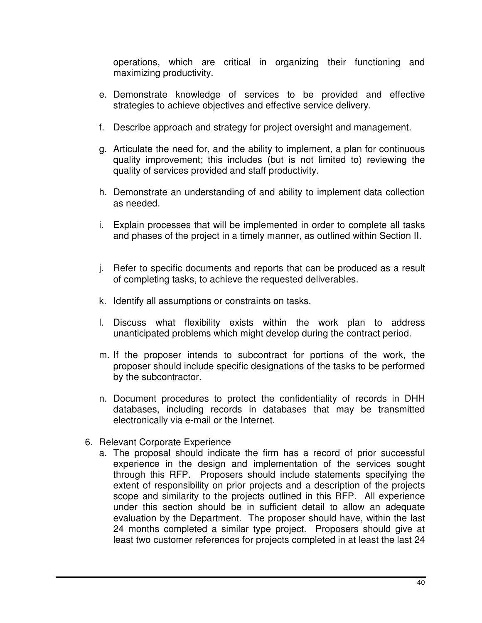operations, which are critical in organizing their functioning and maximizing productivity.

- e. Demonstrate knowledge of services to be provided and effective strategies to achieve objectives and effective service delivery.
- f. Describe approach and strategy for project oversight and management.
- g. Articulate the need for, and the ability to implement, a plan for continuous quality improvement; this includes (but is not limited to) reviewing the quality of services provided and staff productivity.
- h. Demonstrate an understanding of and ability to implement data collection as needed.
- i. Explain processes that will be implemented in order to complete all tasks and phases of the project in a timely manner, as outlined within Section II.
- j. Refer to specific documents and reports that can be produced as a result of completing tasks, to achieve the requested deliverables.
- k. Identify all assumptions or constraints on tasks.
- l. Discuss what flexibility exists within the work plan to address unanticipated problems which might develop during the contract period.
- m. If the proposer intends to subcontract for portions of the work, the proposer should include specific designations of the tasks to be performed by the subcontractor.
- n. Document procedures to protect the confidentiality of records in DHH databases, including records in databases that may be transmitted electronically via e-mail or the Internet.
- 6. Relevant Corporate Experience
	- a. The proposal should indicate the firm has a record of prior successful experience in the design and implementation of the services sought through this RFP. Proposers should include statements specifying the extent of responsibility on prior projects and a description of the projects scope and similarity to the projects outlined in this RFP. All experience under this section should be in sufficient detail to allow an adequate evaluation by the Department. The proposer should have, within the last 24 months completed a similar type project. Proposers should give at least two customer references for projects completed in at least the last 24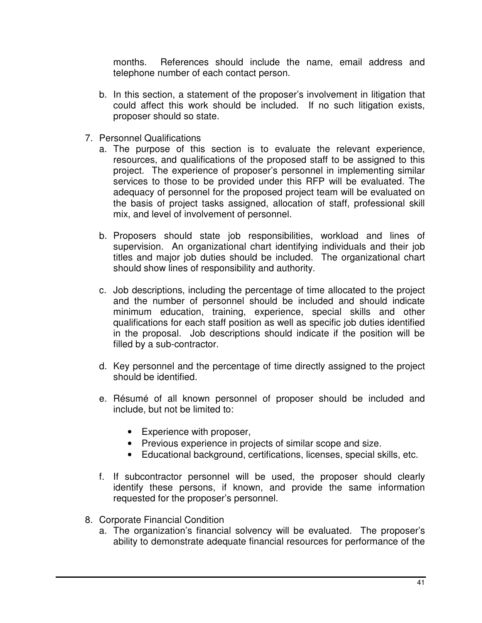months. References should include the name, email address and telephone number of each contact person.

- b. In this section, a statement of the proposer's involvement in litigation that could affect this work should be included. If no such litigation exists, proposer should so state.
- 7. Personnel Qualifications
	- a. The purpose of this section is to evaluate the relevant experience, resources, and qualifications of the proposed staff to be assigned to this project. The experience of proposer's personnel in implementing similar services to those to be provided under this RFP will be evaluated. The adequacy of personnel for the proposed project team will be evaluated on the basis of project tasks assigned, allocation of staff, professional skill mix, and level of involvement of personnel.
	- b. Proposers should state job responsibilities, workload and lines of supervision. An organizational chart identifying individuals and their job titles and major job duties should be included. The organizational chart should show lines of responsibility and authority.
	- c. Job descriptions, including the percentage of time allocated to the project and the number of personnel should be included and should indicate minimum education, training, experience, special skills and other qualifications for each staff position as well as specific job duties identified in the proposal. Job descriptions should indicate if the position will be filled by a sub-contractor.
	- d. Key personnel and the percentage of time directly assigned to the project should be identified.
	- e. Résumé of all known personnel of proposer should be included and include, but not be limited to:
		- Experience with proposer,
		- Previous experience in projects of similar scope and size.
		- Educational background, certifications, licenses, special skills, etc.
	- f. If subcontractor personnel will be used, the proposer should clearly identify these persons, if known, and provide the same information requested for the proposer's personnel.
- 8. Corporate Financial Condition
	- a. The organization's financial solvency will be evaluated. The proposer's ability to demonstrate adequate financial resources for performance of the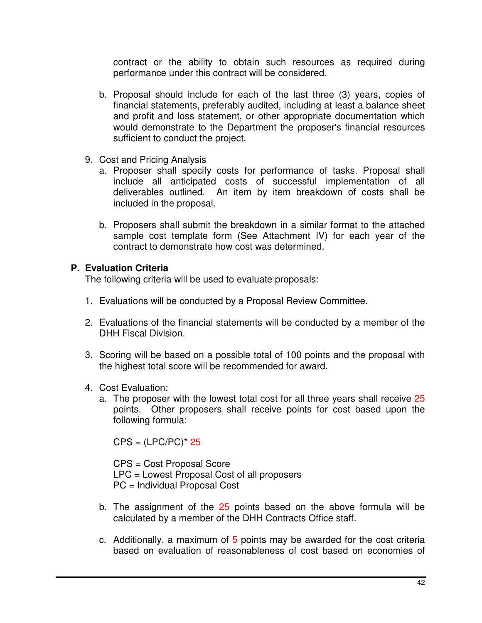contract or the ability to obtain such resources as required during performance under this contract will be considered.

- b. Proposal should include for each of the last three (3) years, copies of financial statements, preferably audited, including at least a balance sheet and profit and loss statement, or other appropriate documentation which would demonstrate to the Department the proposer's financial resources sufficient to conduct the project.
- 9. Cost and Pricing Analysis
	- a. Proposer shall specify costs for performance of tasks. Proposal shall include all anticipated costs of successful implementation of all deliverables outlined. An item by item breakdown of costs shall be included in the proposal.
	- b. Proposers shall submit the breakdown in a similar format to the attached sample cost template form (See Attachment IV) for each year of the contract to demonstrate how cost was determined.

### **P. Evaluation Criteria**

The following criteria will be used to evaluate proposals:

- 1. Evaluations will be conducted by a Proposal Review Committee.
- 2. Evaluations of the financial statements will be conducted by a member of the DHH Fiscal Division.
- 3. Scoring will be based on a possible total of 100 points and the proposal with the highest total score will be recommended for award.
- 4. Cost Evaluation:
	- a. The proposer with the lowest total cost for all three years shall receive 25 points. Other proposers shall receive points for cost based upon the following formula:

 $CPS = (LPC/PC)^* 25$ 

CPS = Cost Proposal Score LPC = Lowest Proposal Cost of all proposers PC = Individual Proposal Cost

- b. The assignment of the 25 points based on the above formula will be calculated by a member of the DHH Contracts Office staff.
- c. Additionally, a maximum of 5 points may be awarded for the cost criteria based on evaluation of reasonableness of cost based on economies of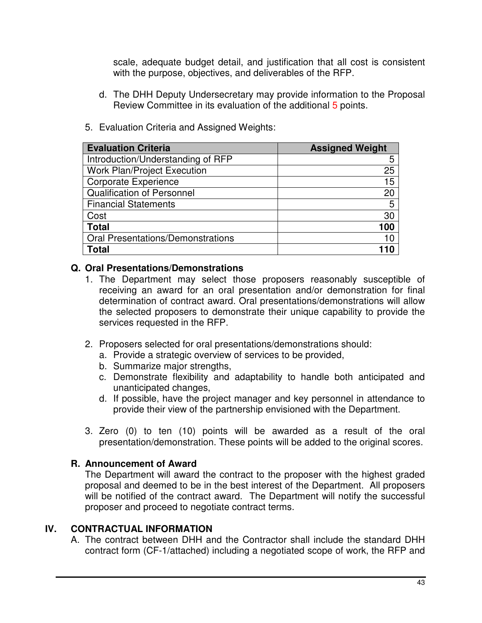scale, adequate budget detail, and justification that all cost is consistent with the purpose, objectives, and deliverables of the RFP.

d. The DHH Deputy Undersecretary may provide information to the Proposal Review Committee in its evaluation of the additional 5 points.

| <b>Evaluation Criteria</b>               | <b>Assigned Weight</b> |
|------------------------------------------|------------------------|
| Introduction/Understanding of RFP        | 5                      |
| <b>Work Plan/Project Execution</b>       | 25                     |
| <b>Corporate Experience</b>              | 15                     |
| <b>Qualification of Personnel</b>        | 20                     |
| <b>Financial Statements</b>              | 5                      |
| Cost                                     | 30                     |
| <b>Total</b>                             | 100                    |
| <b>Oral Presentations/Demonstrations</b> | 10                     |
| Total                                    |                        |

5. Evaluation Criteria and Assigned Weights:

#### **Q. Oral Presentations/Demonstrations**

- 1. The Department may select those proposers reasonably susceptible of receiving an award for an oral presentation and/or demonstration for final determination of contract award. Oral presentations/demonstrations will allow the selected proposers to demonstrate their unique capability to provide the services requested in the RFP.
- 2. Proposers selected for oral presentations/demonstrations should:
	- a. Provide a strategic overview of services to be provided,
	- b. Summarize major strengths,
	- c. Demonstrate flexibility and adaptability to handle both anticipated and unanticipated changes,
	- d. If possible, have the project manager and key personnel in attendance to provide their view of the partnership envisioned with the Department.
- 3. Zero (0) to ten (10) points will be awarded as a result of the oral presentation/demonstration. These points will be added to the original scores.

### **R. Announcement of Award**

The Department will award the contract to the proposer with the highest graded proposal and deemed to be in the best interest of the Department. All proposers will be notified of the contract award. The Department will notify the successful proposer and proceed to negotiate contract terms.

### **IV. CONTRACTUAL INFORMATION**

A. The contract between DHH and the Contractor shall include the standard DHH contract form (CF-1/attached) including a negotiated scope of work, the RFP and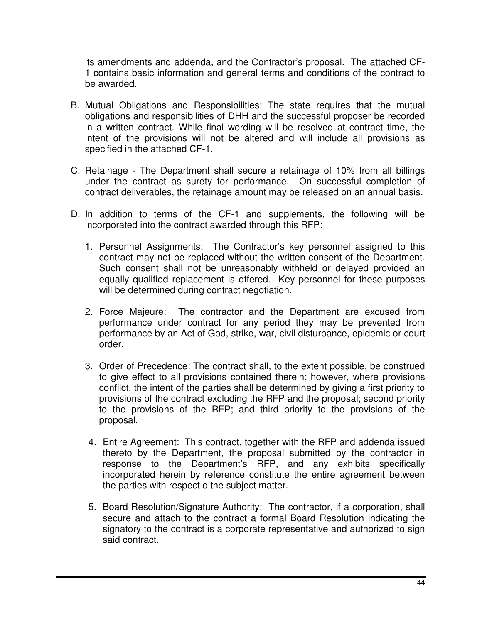its amendments and addenda, and the Contractor's proposal. The attached CF-1 contains basic information and general terms and conditions of the contract to be awarded.

- B. Mutual Obligations and Responsibilities: The state requires that the mutual obligations and responsibilities of DHH and the successful proposer be recorded in a written contract. While final wording will be resolved at contract time, the intent of the provisions will not be altered and will include all provisions as specified in the attached CF-1.
- C. Retainage The Department shall secure a retainage of 10% from all billings under the contract as surety for performance. On successful completion of contract deliverables, the retainage amount may be released on an annual basis.
- D. In addition to terms of the CF-1 and supplements, the following will be incorporated into the contract awarded through this RFP:
	- 1. Personnel Assignments: The Contractor's key personnel assigned to this contract may not be replaced without the written consent of the Department. Such consent shall not be unreasonably withheld or delayed provided an equally qualified replacement is offered. Key personnel for these purposes will be determined during contract negotiation.
	- 2. Force Majeure: The contractor and the Department are excused from performance under contract for any period they may be prevented from performance by an Act of God, strike, war, civil disturbance, epidemic or court order.
	- 3. Order of Precedence: The contract shall, to the extent possible, be construed to give effect to all provisions contained therein; however, where provisions conflict, the intent of the parties shall be determined by giving a first priority to provisions of the contract excluding the RFP and the proposal; second priority to the provisions of the RFP; and third priority to the provisions of the proposal.
	- 4. Entire Agreement: This contract, together with the RFP and addenda issued thereto by the Department, the proposal submitted by the contractor in response to the Department's RFP, and any exhibits specifically incorporated herein by reference constitute the entire agreement between the parties with respect o the subject matter.
	- 5. Board Resolution/Signature Authority: The contractor, if a corporation, shall secure and attach to the contract a formal Board Resolution indicating the signatory to the contract is a corporate representative and authorized to sign said contract.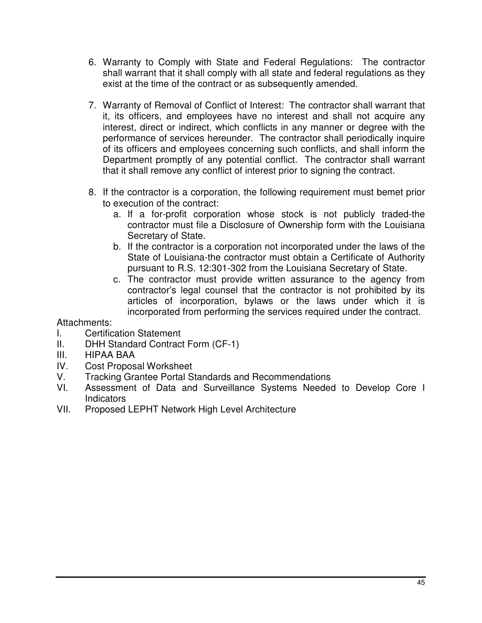- 6. Warranty to Comply with State and Federal Regulations: The contractor shall warrant that it shall comply with all state and federal regulations as they exist at the time of the contract or as subsequently amended.
- 7. Warranty of Removal of Conflict of Interest: The contractor shall warrant that it, its officers, and employees have no interest and shall not acquire any interest, direct or indirect, which conflicts in any manner or degree with the performance of services hereunder. The contractor shall periodically inquire of its officers and employees concerning such conflicts, and shall inform the Department promptly of any potential conflict. The contractor shall warrant that it shall remove any conflict of interest prior to signing the contract.
- 8. If the contractor is a corporation, the following requirement must bemet prior to execution of the contract:
	- a. If a for-profit corporation whose stock is not publicly traded-the contractor must file a Disclosure of Ownership form with the Louisiana Secretary of State.
	- b. If the contractor is a corporation not incorporated under the laws of the State of Louisiana-the contractor must obtain a Certificate of Authority pursuant to R.S. 12:301-302 from the Louisiana Secretary of State.
	- c. The contractor must provide written assurance to the agency from contractor's legal counsel that the contractor is not prohibited by its articles of incorporation, bylaws or the laws under which it is incorporated from performing the services required under the contract.

### Attachments:

- I. Certification Statement
- II. DHH Standard Contract Form (CF-1)
- III. HIPAA BAA
- IV. Cost Proposal Worksheet
- V. Tracking Grantee Portal Standards and Recommendations
- VI. Assessment of Data and Surveillance Systems Needed to Develop Core I Indicators
- VII. Proposed LEPHT Network High Level Architecture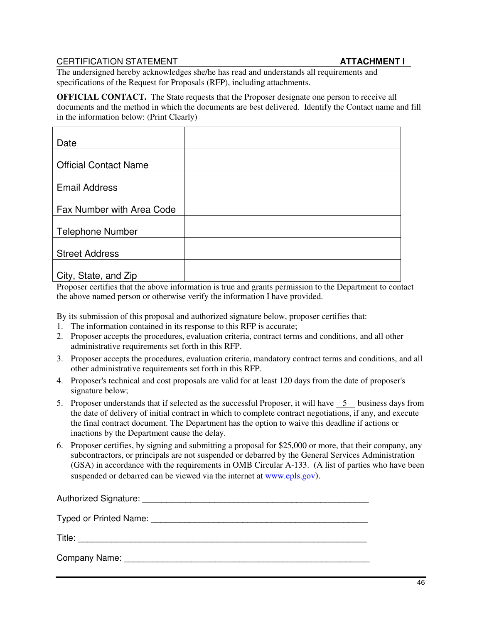#### CERTIFICATION STATEMENT **ATTACHMENT I**

The undersigned hereby acknowledges she/he has read and understands all requirements and specifications of the Request for Proposals (RFP), including attachments.

**OFFICIAL CONTACT.** The State requests that the Proposer designate one person to receive all documents and the method in which the documents are best delivered. Identify the Contact name and fill in the information below: (Print Clearly)

| Date                         |  |
|------------------------------|--|
|                              |  |
| <b>Official Contact Name</b> |  |
|                              |  |
| <b>Email Address</b>         |  |
|                              |  |
| Fax Number with Area Code    |  |
|                              |  |
| <b>Telephone Number</b>      |  |
|                              |  |
| <b>Street Address</b>        |  |
|                              |  |
| City, State, and Zip         |  |

Proposer certifies that the above information is true and grants permission to the Department to contact the above named person or otherwise verify the information I have provided.

By its submission of this proposal and authorized signature below, proposer certifies that:

- 1. The information contained in its response to this RFP is accurate;
- 2. Proposer accepts the procedures, evaluation criteria, contract terms and conditions, and all other administrative requirements set forth in this RFP.
- 3. Proposer accepts the procedures, evaluation criteria, mandatory contract terms and conditions, and all other administrative requirements set forth in this RFP.
- 4. Proposer's technical and cost proposals are valid for at least 120 days from the date of proposer's signature below;
- 5. Proposer understands that if selected as the successful Proposer, it will have  $\overline{\phantom{0}}$  business days from the date of delivery of initial contract in which to complete contract negotiations, if any, and execute the final contract document. The Department has the option to waive this deadline if actions or inactions by the Department cause the delay.
- 6. Proposer certifies, by signing and submitting a proposal for \$25,000 or more, that their company, any subcontractors, or principals are not suspended or debarred by the General Services Administration (GSA) in accordance with the requirements in OMB Circular A-133. (A list of parties who have been suspended or debarred can be viewed via the internet at www.epls.gov).

| Authorized Signature:                 |
|---------------------------------------|
| Typed or Printed Name: 1990 1990 1991 |
| Title:                                |
| Company Name:                         |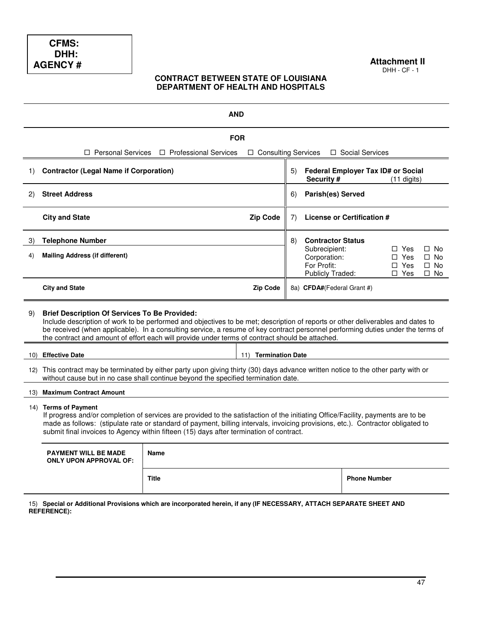#### **Attachment II**  DHH - CF - 1

#### **CONTRACT BETWEEN STATE OF LOUISIANA DEPARTMENT OF HEALTH AND HOSPITALS**

| <b>AND</b> |                                                                                                                                                                                                                                                                                                                                                                                                                               |                                                       |                            |                                                                         |                                                         |                     |                                                      |                                                  |
|------------|-------------------------------------------------------------------------------------------------------------------------------------------------------------------------------------------------------------------------------------------------------------------------------------------------------------------------------------------------------------------------------------------------------------------------------|-------------------------------------------------------|----------------------------|-------------------------------------------------------------------------|---------------------------------------------------------|---------------------|------------------------------------------------------|--------------------------------------------------|
|            | <b>FOR</b>                                                                                                                                                                                                                                                                                                                                                                                                                    |                                                       |                            |                                                                         |                                                         |                     |                                                      |                                                  |
|            |                                                                                                                                                                                                                                                                                                                                                                                                                               | $\Box$ Personal Services $\Box$ Professional Services | $\Box$ Consulting Services |                                                                         |                                                         | □ Social Services   |                                                      |                                                  |
| 1)         | <b>Contractor (Legal Name if Corporation)</b>                                                                                                                                                                                                                                                                                                                                                                                 |                                                       |                            | 5)                                                                      | <b>Federal Employer Tax ID# or Social</b><br>Security # |                     | $(11$ digits)                                        |                                                  |
| 2)         | <b>Street Address</b>                                                                                                                                                                                                                                                                                                                                                                                                         |                                                       |                            | 6)                                                                      | <b>Parish(es) Served</b>                                |                     |                                                      |                                                  |
|            | <b>City and State</b>                                                                                                                                                                                                                                                                                                                                                                                                         |                                                       | <b>Zip Code</b>            | 7)                                                                      | License or Certification #                              |                     |                                                      |                                                  |
| 3)         | <b>Telephone Number</b>                                                                                                                                                                                                                                                                                                                                                                                                       |                                                       |                            | 8)                                                                      | <b>Contractor Status</b>                                |                     |                                                      |                                                  |
| 4)         | <b>Mailing Address (if different)</b>                                                                                                                                                                                                                                                                                                                                                                                         |                                                       |                            | Subrecipient:<br>Corporation:<br>For Profit:<br><b>Publicly Traded:</b> |                                                         |                     | $\Box$ Yes<br>$\Box$ Yes<br>$\Box$ Yes<br>$\Box$ Yes | $\Box$ No<br>$\Box$ No<br>$\Box$ No<br>$\Box$ No |
|            | <b>City and State</b>                                                                                                                                                                                                                                                                                                                                                                                                         |                                                       | <b>Zip Code</b>            |                                                                         | 8a) CFDA#(Federal Grant #)                              |                     |                                                      |                                                  |
| 9)         | <b>Brief Description Of Services To Be Provided:</b><br>Include description of work to be performed and objectives to be met; description of reports or other deliverables and dates to<br>be received (when applicable). In a consulting service, a resume of key contract personnel performing duties under the terms of<br>the contract and amount of effort each will provide under terms of contract should be attached. |                                                       |                            |                                                                         |                                                         |                     |                                                      |                                                  |
|            | 10) Effective Date<br><b>Termination Date</b><br>11)                                                                                                                                                                                                                                                                                                                                                                          |                                                       |                            |                                                                         |                                                         |                     |                                                      |                                                  |
|            | 12) This contract may be terminated by either party upon giving thirty (30) days advance written notice to the other party with or<br>without cause but in no case shall continue beyond the specified termination date.                                                                                                                                                                                                      |                                                       |                            |                                                                         |                                                         |                     |                                                      |                                                  |
|            | 13) Maximum Contract Amount                                                                                                                                                                                                                                                                                                                                                                                                   |                                                       |                            |                                                                         |                                                         |                     |                                                      |                                                  |
|            | 14) Terms of Payment<br>If progress and/or completion of services are provided to the satisfaction of the initiating Office/Facility, payments are to be<br>made as follows: (stipulate rate or standard of payment, billing intervals, invoicing provisions, etc.). Contractor obligated to<br>submit final invoices to Agency within fifteen (15) days after termination of contract.                                       |                                                       |                            |                                                                         |                                                         |                     |                                                      |                                                  |
|            | <b>PAYMENT WILL BE MADE</b><br><b>Name</b><br><b>ONLY UPON APPROVAL OF:</b>                                                                                                                                                                                                                                                                                                                                                   |                                                       |                            |                                                                         |                                                         |                     |                                                      |                                                  |
|            |                                                                                                                                                                                                                                                                                                                                                                                                                               | <b>Title</b>                                          |                            |                                                                         |                                                         | <b>Phone Number</b> |                                                      |                                                  |

15) **Special or Additional Provisions which are incorporated herein, if any (IF NECESSARY, ATTACH SEPARATE SHEET AND REFERENCE):**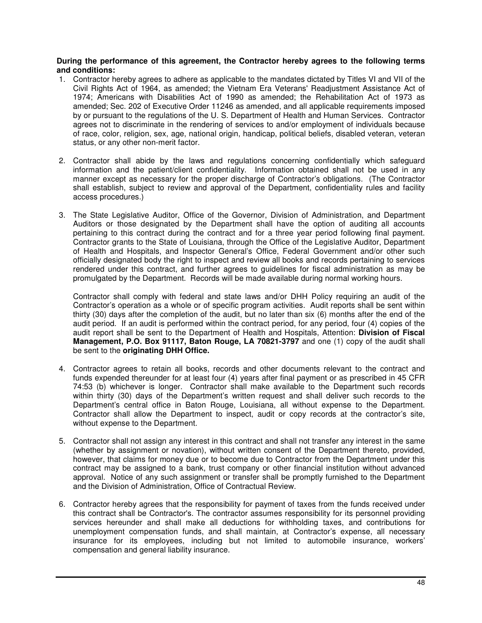#### **During the performance of this agreement, the Contractor hereby agrees to the following terms and conditions:**

- 1. Contractor hereby agrees to adhere as applicable to the mandates dictated by Titles VI and VII of the Civil Rights Act of 1964, as amended; the Vietnam Era Veterans' Readjustment Assistance Act of 1974; Americans with Disabilities Act of 1990 as amended; the Rehabilitation Act of 1973 as amended; Sec. 202 of Executive Order 11246 as amended, and all applicable requirements imposed by or pursuant to the regulations of the U. S. Department of Health and Human Services. Contractor agrees not to discriminate in the rendering of services to and/or employment of individuals because of race, color, religion, sex, age, national origin, handicap, political beliefs, disabled veteran, veteran status, or any other non-merit factor.
- 2. Contractor shall abide by the laws and regulations concerning confidentially which safeguard information and the patient/client confidentiality. Information obtained shall not be used in any manner except as necessary for the proper discharge of Contractor's obligations. (The Contractor shall establish, subject to review and approval of the Department, confidentiality rules and facility access procedures.)
- 3. The State Legislative Auditor, Office of the Governor, Division of Administration, and Department Auditors or those designated by the Department shall have the option of auditing all accounts pertaining to this contract during the contract and for a three year period following final payment. Contractor grants to the State of Louisiana, through the Office of the Legislative Auditor, Department of Health and Hospitals, and Inspector General's Office, Federal Government and/or other such officially designated body the right to inspect and review all books and records pertaining to services rendered under this contract, and further agrees to guidelines for fiscal administration as may be promulgated by the Department. Records will be made available during normal working hours.

Contractor shall comply with federal and state laws and/or DHH Policy requiring an audit of the Contractor's operation as a whole or of specific program activities. Audit reports shall be sent within thirty (30) days after the completion of the audit, but no later than six (6) months after the end of the audit period. If an audit is performed within the contract period, for any period, four (4) copies of the audit report shall be sent to the Department of Health and Hospitals, Attention: **Division of Fiscal Management, P.O. Box 91117, Baton Rouge, LA 70821-3797** and one (1) copy of the audit shall be sent to the **originating DHH Office.**

- 4. Contractor agrees to retain all books, records and other documents relevant to the contract and funds expended thereunder for at least four (4) years after final payment or as prescribed in 45 CFR 74:53 (b) whichever is longer. Contractor shall make available to the Department such records within thirty (30) days of the Department's written request and shall deliver such records to the Department's central office in Baton Rouge, Louisiana, all without expense to the Department. Contractor shall allow the Department to inspect, audit or copy records at the contractor's site, without expense to the Department.
- 5. Contractor shall not assign any interest in this contract and shall not transfer any interest in the same (whether by assignment or novation), without written consent of the Department thereto, provided, however, that claims for money due or to become due to Contractor from the Department under this contract may be assigned to a bank, trust company or other financial institution without advanced approval. Notice of any such assignment or transfer shall be promptly furnished to the Department and the Division of Administration, Office of Contractual Review.
- 6. Contractor hereby agrees that the responsibility for payment of taxes from the funds received under this contract shall be Contractor's. The contractor assumes responsibility for its personnel providing services hereunder and shall make all deductions for withholding taxes, and contributions for unemployment compensation funds, and shall maintain, at Contractor's expense, all necessary insurance for its employees, including but not limited to automobile insurance, workers' compensation and general liability insurance.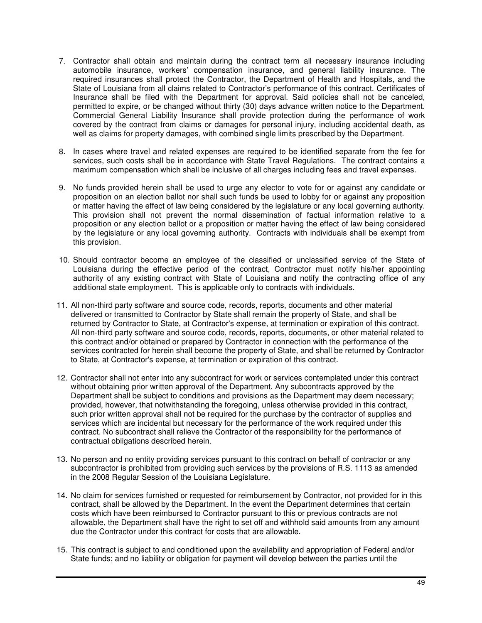- 7. Contractor shall obtain and maintain during the contract term all necessary insurance including automobile insurance, workers' compensation insurance, and general liability insurance. The required insurances shall protect the Contractor, the Department of Health and Hospitals, and the State of Louisiana from all claims related to Contractor's performance of this contract. Certificates of Insurance shall be filed with the Department for approval. Said policies shall not be canceled, permitted to expire, or be changed without thirty (30) days advance written notice to the Department. Commercial General Liability Insurance shall provide protection during the performance of work covered by the contract from claims or damages for personal injury, including accidental death, as well as claims for property damages, with combined single limits prescribed by the Department.
- 8. In cases where travel and related expenses are required to be identified separate from the fee for services, such costs shall be in accordance with State Travel Regulations. The contract contains a maximum compensation which shall be inclusive of all charges including fees and travel expenses.
- 9. No funds provided herein shall be used to urge any elector to vote for or against any candidate or proposition on an election ballot nor shall such funds be used to lobby for or against any proposition or matter having the effect of law being considered by the legislature or any local governing authority. This provision shall not prevent the normal dissemination of factual information relative to a proposition or any election ballot or a proposition or matter having the effect of law being considered by the legislature or any local governing authority. Contracts with individuals shall be exempt from this provision.
- 10. Should contractor become an employee of the classified or unclassified service of the State of Louisiana during the effective period of the contract, Contractor must notify his/her appointing authority of any existing contract with State of Louisiana and notify the contracting office of any additional state employment. This is applicable only to contracts with individuals.
- 11. All non-third party software and source code, records, reports, documents and other material delivered or transmitted to Contractor by State shall remain the property of State, and shall be returned by Contractor to State, at Contractor's expense, at termination or expiration of this contract. All non-third party software and source code, records, reports, documents, or other material related to this contract and/or obtained or prepared by Contractor in connection with the performance of the services contracted for herein shall become the property of State, and shall be returned by Contractor to State, at Contractor's expense, at termination or expiration of this contract.
- 12. Contractor shall not enter into any subcontract for work or services contemplated under this contract without obtaining prior written approval of the Department. Any subcontracts approved by the Department shall be subject to conditions and provisions as the Department may deem necessary; provided, however, that notwithstanding the foregoing, unless otherwise provided in this contract, such prior written approval shall not be required for the purchase by the contractor of supplies and services which are incidental but necessary for the performance of the work required under this contract. No subcontract shall relieve the Contractor of the responsibility for the performance of contractual obligations described herein.
- 13. No person and no entity providing services pursuant to this contract on behalf of contractor or any subcontractor is prohibited from providing such services by the provisions of R.S. 1113 as amended in the 2008 Regular Session of the Louisiana Legislature.
- 14. No claim for services furnished or requested for reimbursement by Contractor, not provided for in this contract, shall be allowed by the Department. In the event the Department determines that certain costs which have been reimbursed to Contractor pursuant to this or previous contracts are not allowable, the Department shall have the right to set off and withhold said amounts from any amount due the Contractor under this contract for costs that are allowable.
- 15. This contract is subject to and conditioned upon the availability and appropriation of Federal and/or State funds; and no liability or obligation for payment will develop between the parties until the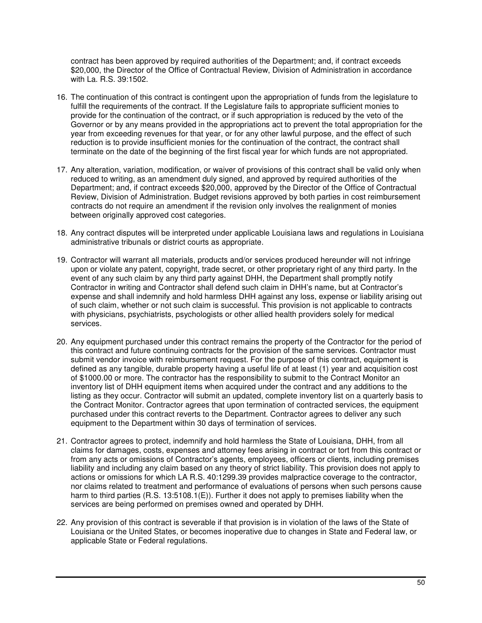contract has been approved by required authorities of the Department; and, if contract exceeds \$20,000, the Director of the Office of Contractual Review, Division of Administration in accordance with La. R.S. 39:1502.

- 16. The continuation of this contract is contingent upon the appropriation of funds from the legislature to fulfill the requirements of the contract. If the Legislature fails to appropriate sufficient monies to provide for the continuation of the contract, or if such appropriation is reduced by the veto of the Governor or by any means provided in the appropriations act to prevent the total appropriation for the year from exceeding revenues for that year, or for any other lawful purpose, and the effect of such reduction is to provide insufficient monies for the continuation of the contract, the contract shall terminate on the date of the beginning of the first fiscal year for which funds are not appropriated.
- 17. Any alteration, variation, modification, or waiver of provisions of this contract shall be valid only when reduced to writing, as an amendment duly signed, and approved by required authorities of the Department; and, if contract exceeds \$20,000, approved by the Director of the Office of Contractual Review, Division of Administration. Budget revisions approved by both parties in cost reimbursement contracts do not require an amendment if the revision only involves the realignment of monies between originally approved cost categories.
- 18. Any contract disputes will be interpreted under applicable Louisiana laws and regulations in Louisiana administrative tribunals or district courts as appropriate.
- 19. Contractor will warrant all materials, products and/or services produced hereunder will not infringe upon or violate any patent, copyright, trade secret, or other proprietary right of any third party. In the event of any such claim by any third party against DHH, the Department shall promptly notify Contractor in writing and Contractor shall defend such claim in DHH's name, but at Contractor's expense and shall indemnify and hold harmless DHH against any loss, expense or liability arising out of such claim, whether or not such claim is successful. This provision is not applicable to contracts with physicians, psychiatrists, psychologists or other allied health providers solely for medical services.
- 20. Any equipment purchased under this contract remains the property of the Contractor for the period of this contract and future continuing contracts for the provision of the same services. Contractor must submit vendor invoice with reimbursement request. For the purpose of this contract, equipment is defined as any tangible, durable property having a useful life of at least (1) year and acquisition cost of \$1000.00 or more. The contractor has the responsibility to submit to the Contract Monitor an inventory list of DHH equipment items when acquired under the contract and any additions to the listing as they occur. Contractor will submit an updated, complete inventory list on a quarterly basis to the Contract Monitor. Contractor agrees that upon termination of contracted services, the equipment purchased under this contract reverts to the Department. Contractor agrees to deliver any such equipment to the Department within 30 days of termination of services.
- 21. Contractor agrees to protect, indemnify and hold harmless the State of Louisiana, DHH, from all claims for damages, costs, expenses and attorney fees arising in contract or tort from this contract or from any acts or omissions of Contractor's agents, employees, officers or clients, including premises liability and including any claim based on any theory of strict liability. This provision does not apply to actions or omissions for which LA R.S. 40:1299.39 provides malpractice coverage to the contractor, nor claims related to treatment and performance of evaluations of persons when such persons cause harm to third parties (R.S. 13:5108.1(E)). Further it does not apply to premises liability when the services are being performed on premises owned and operated by DHH.
- 22. Any provision of this contract is severable if that provision is in violation of the laws of the State of Louisiana or the United States, or becomes inoperative due to changes in State and Federal law, or applicable State or Federal regulations.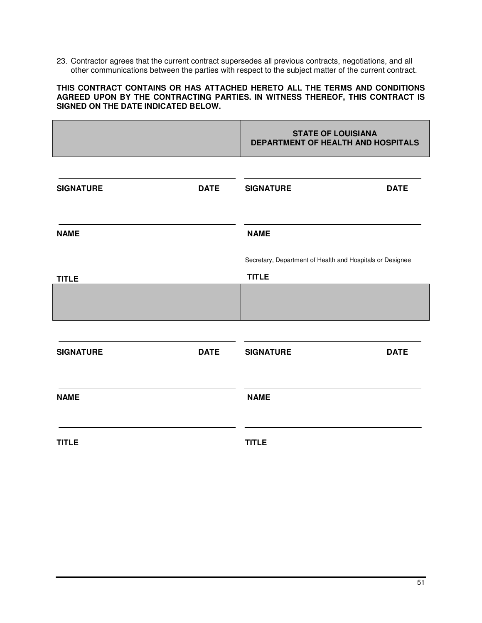23. Contractor agrees that the current contract supersedes all previous contracts, negotiations, and all other communications between the parties with respect to the subject matter of the current contract.

#### **THIS CONTRACT CONTAINS OR HAS ATTACHED HERETO ALL THE TERMS AND CONDITIONS AGREED UPON BY THE CONTRACTING PARTIES. IN WITNESS THEREOF, THIS CONTRACT IS SIGNED ON THE DATE INDICATED BELOW.**

|                  |             | <b>STATE OF LOUISIANA</b><br>DEPARTMENT OF HEALTH AND HOSPITALS           |             |
|------------------|-------------|---------------------------------------------------------------------------|-------------|
| <b>SIGNATURE</b> | <b>DATE</b> | <b>SIGNATURE</b>                                                          | <b>DATE</b> |
| <b>NAME</b>      |             | <b>NAME</b>                                                               |             |
| <b>TITLE</b>     |             | Secretary, Department of Health and Hospitals or Designee<br><b>TITLE</b> |             |
|                  |             |                                                                           |             |
| <b>SIGNATURE</b> | <b>DATE</b> | <b>SIGNATURE</b>                                                          | <b>DATE</b> |
| <b>NAME</b>      |             | <b>NAME</b>                                                               |             |
| <b>TITLE</b>     |             | <b>TITLE</b>                                                              |             |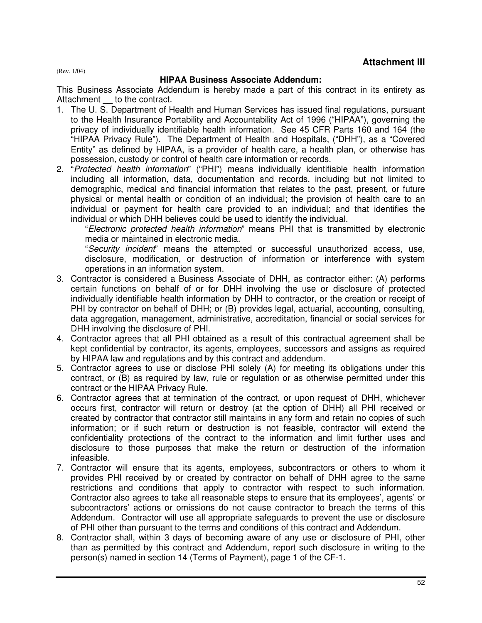(Rev. 1/04)

#### **HIPAA Business Associate Addendum:**

This Business Associate Addendum is hereby made a part of this contract in its entirety as Attachment to the contract.

- 1. The U. S. Department of Health and Human Services has issued final regulations, pursuant to the Health Insurance Portability and Accountability Act of 1996 ("HIPAA"), governing the privacy of individually identifiable health information. See 45 CFR Parts 160 and 164 (the "HIPAA Privacy Rule"). The Department of Health and Hospitals, ("DHH"), as a "Covered Entity" as defined by HIPAA, is a provider of health care, a health plan, or otherwise has possession, custody or control of health care information or records.
- 2. "Protected health information" ("PHI") means individually identifiable health information including all information, data, documentation and records, including but not limited to demographic, medical and financial information that relates to the past, present, or future physical or mental health or condition of an individual; the provision of health care to an individual or payment for health care provided to an individual; and that identifies the individual or which DHH believes could be used to identify the individual.

"Electronic protected health information" means PHI that is transmitted by electronic media or maintained in electronic media.

"Security incident" means the attempted or successful unauthorized access, use, disclosure, modification, or destruction of information or interference with system operations in an information system.

- 3. Contractor is considered a Business Associate of DHH, as contractor either: (A) performs certain functions on behalf of or for DHH involving the use or disclosure of protected individually identifiable health information by DHH to contractor, or the creation or receipt of PHI by contractor on behalf of DHH; or (B) provides legal, actuarial, accounting, consulting, data aggregation, management, administrative, accreditation, financial or social services for DHH involving the disclosure of PHI.
- 4. Contractor agrees that all PHI obtained as a result of this contractual agreement shall be kept confidential by contractor, its agents, employees, successors and assigns as required by HIPAA law and regulations and by this contract and addendum.
- 5. Contractor agrees to use or disclose PHI solely (A) for meeting its obligations under this contract, or (B) as required by law, rule or regulation or as otherwise permitted under this contract or the HIPAA Privacy Rule.
- 6. Contractor agrees that at termination of the contract, or upon request of DHH, whichever occurs first, contractor will return or destroy (at the option of DHH) all PHI received or created by contractor that contractor still maintains in any form and retain no copies of such information; or if such return or destruction is not feasible, contractor will extend the confidentiality protections of the contract to the information and limit further uses and disclosure to those purposes that make the return or destruction of the information infeasible.
- 7. Contractor will ensure that its agents, employees, subcontractors or others to whom it provides PHI received by or created by contractor on behalf of DHH agree to the same restrictions and conditions that apply to contractor with respect to such information. Contractor also agrees to take all reasonable steps to ensure that its employees', agents' or subcontractors' actions or omissions do not cause contractor to breach the terms of this Addendum. Contractor will use all appropriate safeguards to prevent the use or disclosure of PHI other than pursuant to the terms and conditions of this contract and Addendum.
- 8. Contractor shall, within 3 days of becoming aware of any use or disclosure of PHI, other than as permitted by this contract and Addendum, report such disclosure in writing to the person(s) named in section 14 (Terms of Payment), page 1 of the CF-1.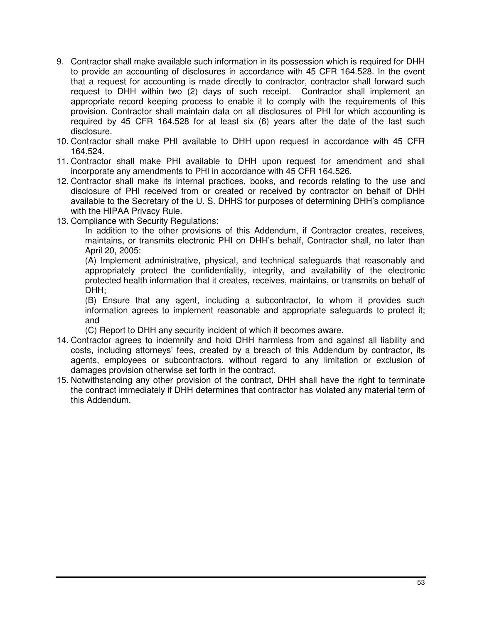- 9. Contractor shall make available such information in its possession which is required for DHH to provide an accounting of disclosures in accordance with 45 CFR 164.528. In the event that a request for accounting is made directly to contractor, contractor shall forward such request to DHH within two (2) days of such receipt. Contractor shall implement an appropriate record keeping process to enable it to comply with the requirements of this provision. Contractor shall maintain data on all disclosures of PHI for which accounting is required by 45 CFR 164.528 for at least six (6) years after the date of the last such disclosure.
- 10. Contractor shall make PHI available to DHH upon request in accordance with 45 CFR 164.524.
- 11. Contractor shall make PHI available to DHH upon request for amendment and shall incorporate any amendments to PHI in accordance with 45 CFR 164.526.
- 12. Contractor shall make its internal practices, books, and records relating to the use and disclosure of PHI received from or created or received by contractor on behalf of DHH available to the Secretary of the U. S. DHHS for purposes of determining DHH's compliance with the HIPAA Privacy Rule.
- 13. Compliance with Security Regulations:

In addition to the other provisions of this Addendum, if Contractor creates, receives, maintains, or transmits electronic PHI on DHH's behalf, Contractor shall, no later than April 20, 2005:

(A) Implement administrative, physical, and technical safeguards that reasonably and appropriately protect the confidentiality, integrity, and availability of the electronic protected health information that it creates, receives, maintains, or transmits on behalf of DHH;

(B) Ensure that any agent, including a subcontractor, to whom it provides such information agrees to implement reasonable and appropriate safeguards to protect it; and

(C) Report to DHH any security incident of which it becomes aware.

- 14. Contractor agrees to indemnify and hold DHH harmless from and against all liability and costs, including attorneys' fees, created by a breach of this Addendum by contractor, its agents, employees or subcontractors, without regard to any limitation or exclusion of damages provision otherwise set forth in the contract.
- 15. Notwithstanding any other provision of the contract, DHH shall have the right to terminate the contract immediately if DHH determines that contractor has violated any material term of this Addendum.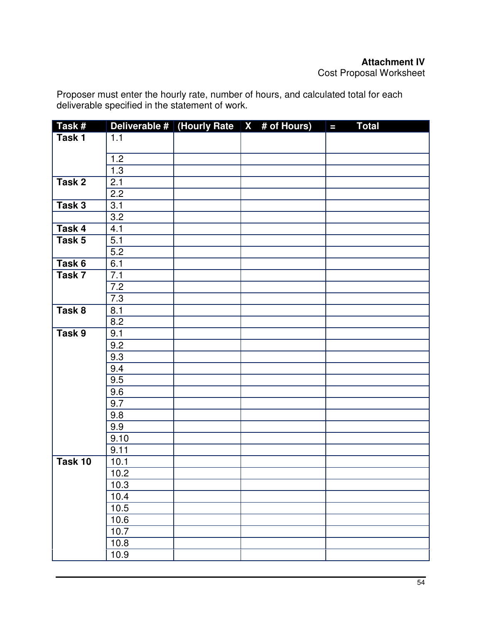Proposer must enter the hourly rate, number of hours, and calculated total for each deliverable specified in the statement of work.

| Task#   |                  | Deliverable # (Hourly Rate $X$ # of Hours) | <b>Total</b><br>$\blacksquare$ |
|---------|------------------|--------------------------------------------|--------------------------------|
| Task 1  | 1.1              |                                            |                                |
|         |                  |                                            |                                |
|         | 1.2              |                                            |                                |
|         | 1.3              |                                            |                                |
| Task 2  | 2.1              |                                            |                                |
|         | 2.2              |                                            |                                |
| Task 3  | 3.1              |                                            |                                |
|         | 3.2              |                                            |                                |
| Task 4  | 4.1              |                                            |                                |
| Task 5  | 5.1              |                                            |                                |
|         | 5.2              |                                            |                                |
| Task 6  | 6.1              |                                            |                                |
| Task 7  | 7.1              |                                            |                                |
|         | 7.2              |                                            |                                |
|         | 7.3              |                                            |                                |
| Task 8  | 8.1              |                                            |                                |
|         | 8.2              |                                            |                                |
| Task 9  | 9.1              |                                            |                                |
|         | 9.2              |                                            |                                |
|         | $\overline{9.3}$ |                                            |                                |
|         | 9.4              |                                            |                                |
|         | 9.5              |                                            |                                |
|         | 9.6              |                                            |                                |
|         | 9.7              |                                            |                                |
|         | 9.8              |                                            |                                |
|         | 9.9              |                                            |                                |
|         | 9.10             |                                            |                                |
|         | 9.11             |                                            |                                |
| Task 10 | 10.1             |                                            |                                |
|         | 10.2             |                                            |                                |
|         | 10.3             |                                            |                                |
|         | 10.4             |                                            |                                |
|         | 10.5             |                                            |                                |
|         | 10.6             |                                            |                                |
|         | 10.7             |                                            |                                |
|         | 10.8             |                                            |                                |
|         | 10.9             |                                            |                                |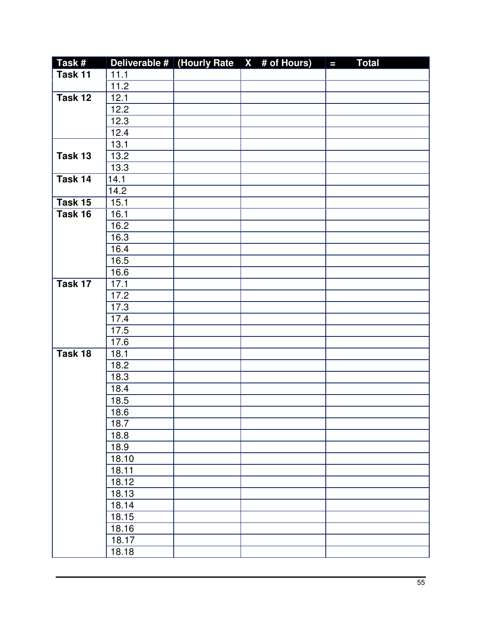| Task#     |                   | Deliverable # (Hourly Rate $\vert$ X # of Hours) | <b>Total</b><br>$\blacksquare$ |
|-----------|-------------------|--------------------------------------------------|--------------------------------|
| Task 11   | 11.1              |                                                  |                                |
|           | 11.2              |                                                  |                                |
| Task 12   | 12.1              |                                                  |                                |
|           | 12.2              |                                                  |                                |
|           | 12.3              |                                                  |                                |
|           | 12.4              |                                                  |                                |
|           | 13.1              |                                                  |                                |
| Task 13   | 13.2              |                                                  |                                |
|           | 13.3              |                                                  |                                |
| Task 14   | 14.1              |                                                  |                                |
|           | 14.2              |                                                  |                                |
| Task $15$ | $15.\overline{1}$ |                                                  |                                |
| Task 16   | 16.1              |                                                  |                                |
|           | 16.2              |                                                  |                                |
|           | 16.3              |                                                  |                                |
|           | 16.4              |                                                  |                                |
|           | $16.\overline{5}$ |                                                  |                                |
|           | 16.6              |                                                  |                                |
| Task 17   | 17.1              |                                                  |                                |
|           | 17.2              |                                                  |                                |
|           | 17.3              |                                                  |                                |
|           | 17.4              |                                                  |                                |
|           | 17.5              |                                                  |                                |
|           | 17.6              |                                                  |                                |
| Task 18   | 18.1              |                                                  |                                |
|           | 18.2              |                                                  |                                |
|           | 18.3              |                                                  |                                |
|           | 18.4              |                                                  |                                |
|           | 18.5              |                                                  |                                |
|           | 18.6              |                                                  |                                |
|           | 18.7              |                                                  |                                |
|           | 18.8              |                                                  |                                |
|           | 18.9              |                                                  |                                |
|           | 18.10             |                                                  |                                |
|           | 18.11             |                                                  |                                |
|           | 18.12             |                                                  |                                |
|           | 18.13             |                                                  |                                |
|           | 18.14             |                                                  |                                |
|           | 18.15             |                                                  |                                |
|           | 18.16             |                                                  |                                |
|           | 18.17             |                                                  |                                |
|           | 18.18             |                                                  |                                |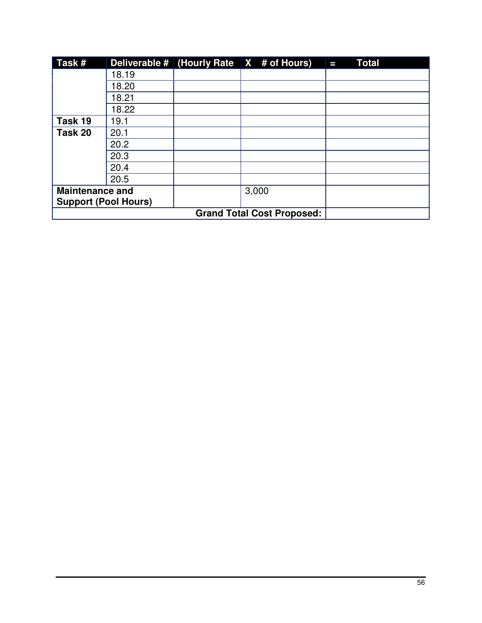| Task#                       |       | Deliverable # (Hourly Rate $\vert X \vert$ # of Hours) | <b>Total</b><br>Τ |
|-----------------------------|-------|--------------------------------------------------------|-------------------|
|                             | 18.19 |                                                        |                   |
|                             | 18.20 |                                                        |                   |
|                             | 18.21 |                                                        |                   |
|                             | 18.22 |                                                        |                   |
| Task 19                     | 19.1  |                                                        |                   |
| Task 20                     | 20.1  |                                                        |                   |
|                             | 20.2  |                                                        |                   |
|                             | 20.3  |                                                        |                   |
|                             | 20.4  |                                                        |                   |
|                             | 20.5  |                                                        |                   |
| <b>Maintenance and</b>      |       | 3,000                                                  |                   |
| <b>Support (Pool Hours)</b> |       |                                                        |                   |
|                             |       |                                                        |                   |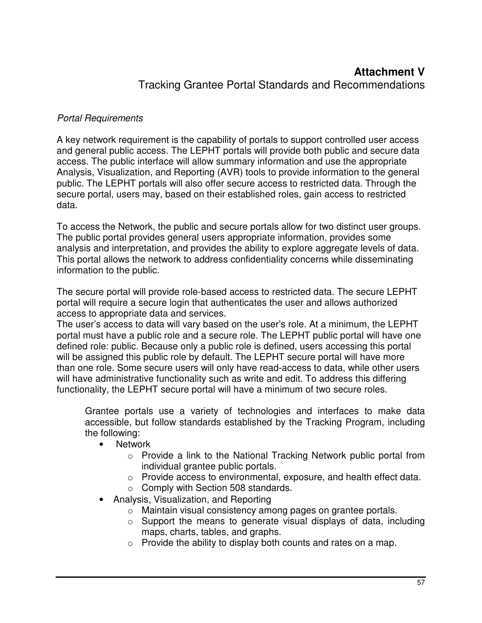# **Attachment V**  Tracking Grantee Portal Standards and Recommendations

# Portal Requirements

A key network requirement is the capability of portals to support controlled user access and general public access. The LEPHT portals will provide both public and secure data access. The public interface will allow summary information and use the appropriate Analysis, Visualization, and Reporting (AVR) tools to provide information to the general public. The LEPHT portals will also offer secure access to restricted data. Through the secure portal, users may, based on their established roles, gain access to restricted data.

To access the Network, the public and secure portals allow for two distinct user groups. The public portal provides general users appropriate information, provides some analysis and interpretation, and provides the ability to explore aggregate levels of data. This portal allows the network to address confidentiality concerns while disseminating information to the public.

The secure portal will provide role-based access to restricted data. The secure LEPHT portal will require a secure login that authenticates the user and allows authorized access to appropriate data and services.

The user's access to data will vary based on the user's role. At a minimum, the LEPHT portal must have a public role and a secure role. The LEPHT public portal will have one defined role: public. Because only a public role is defined, users accessing this portal will be assigned this public role by default. The LEPHT secure portal will have more than one role. Some secure users will only have read-access to data, while other users will have administrative functionality such as write and edit. To address this differing functionality, the LEPHT secure portal will have a minimum of two secure roles.

Grantee portals use a variety of technologies and interfaces to make data accessible, but follow standards established by the Tracking Program, including the following:

- Network
	- $\circ$  Provide a link to the National Tracking Network public portal from individual grantee public portals.
	- o Provide access to environmental, exposure, and health effect data.
	- o Comply with Section 508 standards.
- Analysis, Visualization, and Reporting
	- o Maintain visual consistency among pages on grantee portals.
	- $\circ$  Support the means to generate visual displays of data, including maps, charts, tables, and graphs.
	- o Provide the ability to display both counts and rates on a map.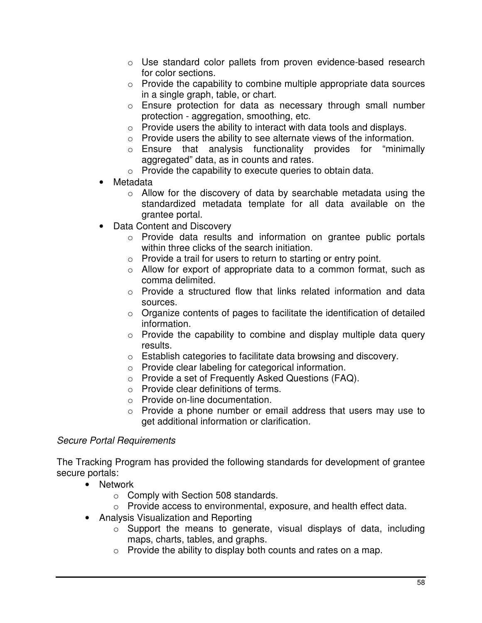- o Use standard color pallets from proven evidence-based research for color sections.
- $\circ$  Provide the capability to combine multiple appropriate data sources in a single graph, table, or chart.
- o Ensure protection for data as necessary through small number protection - aggregation, smoothing, etc.
- o Provide users the ability to interact with data tools and displays.
- o Provide users the ability to see alternate views of the information.
- o Ensure that analysis functionality provides for "minimally aggregated" data, as in counts and rates.
- o Provide the capability to execute queries to obtain data.
- **Metadata** 
	- o Allow for the discovery of data by searchable metadata using the standardized metadata template for all data available on the grantee portal.
- Data Content and Discovery
	- o Provide data results and information on grantee public portals within three clicks of the search initiation.
	- o Provide a trail for users to return to starting or entry point.
	- $\circ$  Allow for export of appropriate data to a common format, such as comma delimited.
	- $\circ$  Provide a structured flow that links related information and data sources.
	- o Organize contents of pages to facilitate the identification of detailed information.
	- o Provide the capability to combine and display multiple data query results.
	- o Establish categories to facilitate data browsing and discovery.
	- o Provide clear labeling for categorical information.
	- o Provide a set of Frequently Asked Questions (FAQ).
	- o Provide clear definitions of terms.
	- o Provide on-line documentation.
	- o Provide a phone number or email address that users may use to get additional information or clarification.

### Secure Portal Requirements

The Tracking Program has provided the following standards for development of grantee secure portals:

- Network
	- o Comply with Section 508 standards.
	- o Provide access to environmental, exposure, and health effect data.
- Analysis Visualization and Reporting
	- o Support the means to generate, visual displays of data, including maps, charts, tables, and graphs.
	- $\circ$  Provide the ability to display both counts and rates on a map.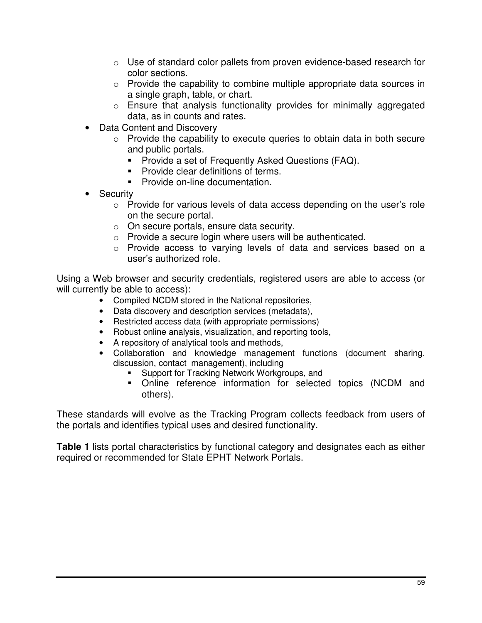- $\circ$  Use of standard color pallets from proven evidence-based research for color sections.
- o Provide the capability to combine multiple appropriate data sources in a single graph, table, or chart.
- $\circ$  Ensure that analysis functionality provides for minimally aggregated data, as in counts and rates.
- Data Content and Discovery
	- $\circ$  Provide the capability to execute queries to obtain data in both secure and public portals.
		- **Provide a set of Frequently Asked Questions (FAQ).**
		- **Provide clear definitions of terms.**
		- **Provide on-line documentation.**
- **Security** 
	- o Provide for various levels of data access depending on the user's role on the secure portal.
	- o On secure portals, ensure data security.
	- o Provide a secure login where users will be authenticated.
	- o Provide access to varying levels of data and services based on a user's authorized role.

Using a Web browser and security credentials, registered users are able to access (or will currently be able to access):

- Compiled NCDM stored in the National repositories,
- Data discovery and description services (metadata),
- Restricted access data (with appropriate permissions)
- Robust online analysis, visualization, and reporting tools,
- A repository of analytical tools and methods,
- Collaboration and knowledge management functions (document sharing, discussion, contact management), including
	- **Support for Tracking Network Workgroups, and**
	- Online reference information for selected topics (NCDM and others).

These standards will evolve as the Tracking Program collects feedback from users of the portals and identifies typical uses and desired functionality.

**Table 1** lists portal characteristics by functional category and designates each as either required or recommended for State EPHT Network Portals.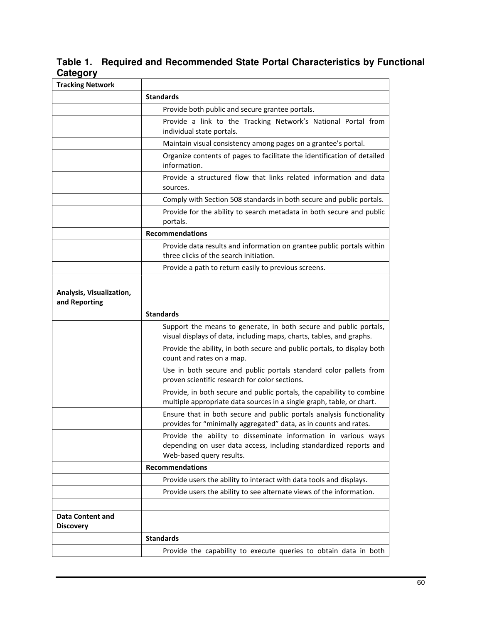**Table 1. Required and Recommended State Portal Characteristics by Functional Category**

| <b>Tracking Network</b>                     |                                                                                                                                                                 |
|---------------------------------------------|-----------------------------------------------------------------------------------------------------------------------------------------------------------------|
|                                             | <b>Standards</b>                                                                                                                                                |
|                                             | Provide both public and secure grantee portals.                                                                                                                 |
|                                             | Provide a link to the Tracking Network's National Portal from<br>individual state portals.                                                                      |
|                                             | Maintain visual consistency among pages on a grantee's portal.                                                                                                  |
|                                             | Organize contents of pages to facilitate the identification of detailed<br>information.                                                                         |
|                                             | Provide a structured flow that links related information and data<br>sources.                                                                                   |
|                                             | Comply with Section 508 standards in both secure and public portals.                                                                                            |
|                                             | Provide for the ability to search metadata in both secure and public<br>portals.                                                                                |
|                                             | <b>Recommendations</b>                                                                                                                                          |
|                                             | Provide data results and information on grantee public portals within<br>three clicks of the search initiation.                                                 |
|                                             | Provide a path to return easily to previous screens.                                                                                                            |
|                                             |                                                                                                                                                                 |
| Analysis, Visualization,<br>and Reporting   |                                                                                                                                                                 |
|                                             | <b>Standards</b>                                                                                                                                                |
|                                             | Support the means to generate, in both secure and public portals,<br>visual displays of data, including maps, charts, tables, and graphs.                       |
|                                             | Provide the ability, in both secure and public portals, to display both<br>count and rates on a map.                                                            |
|                                             | Use in both secure and public portals standard color pallets from<br>proven scientific research for color sections.                                             |
|                                             | Provide, in both secure and public portals, the capability to combine<br>multiple appropriate data sources in a single graph, table, or chart.                  |
|                                             | Ensure that in both secure and public portals analysis functionality<br>provides for "minimally aggregated" data, as in counts and rates.                       |
|                                             | Provide the ability to disseminate information in various ways<br>depending on user data access, including standardized reports and<br>Web-based query results. |
|                                             | <b>Recommendations</b>                                                                                                                                          |
|                                             | Provide users the ability to interact with data tools and displays.                                                                                             |
|                                             | Provide users the ability to see alternate views of the information.                                                                                            |
|                                             |                                                                                                                                                                 |
| <b>Data Content and</b><br><b>Discovery</b> |                                                                                                                                                                 |
|                                             | <b>Standards</b>                                                                                                                                                |
|                                             | Provide the capability to execute queries to obtain data in both                                                                                                |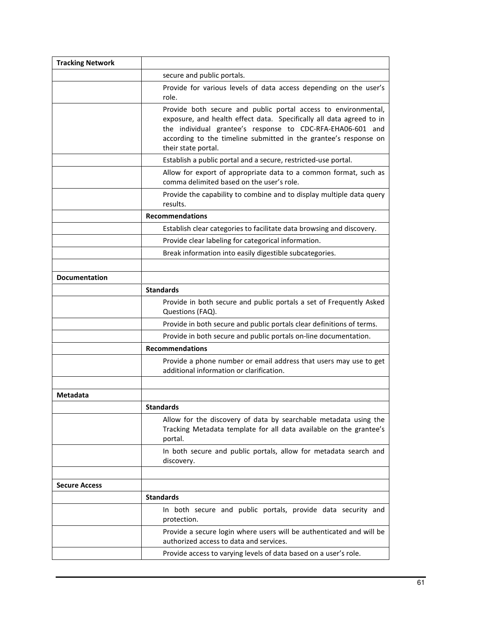| <b>Tracking Network</b> |                                                                                                                                                                                                                                                                                                 |
|-------------------------|-------------------------------------------------------------------------------------------------------------------------------------------------------------------------------------------------------------------------------------------------------------------------------------------------|
|                         | secure and public portals.                                                                                                                                                                                                                                                                      |
|                         | Provide for various levels of data access depending on the user's<br>role.                                                                                                                                                                                                                      |
|                         | Provide both secure and public portal access to environmental,<br>exposure, and health effect data. Specifically all data agreed to in<br>the individual grantee's response to CDC-RFA-EHA06-601 and<br>according to the timeline submitted in the grantee's response on<br>their state portal. |
|                         | Establish a public portal and a secure, restricted-use portal.                                                                                                                                                                                                                                  |
|                         | Allow for export of appropriate data to a common format, such as<br>comma delimited based on the user's role.                                                                                                                                                                                   |
|                         | Provide the capability to combine and to display multiple data query<br>results.                                                                                                                                                                                                                |
|                         | <b>Recommendations</b>                                                                                                                                                                                                                                                                          |
|                         | Establish clear categories to facilitate data browsing and discovery.                                                                                                                                                                                                                           |
|                         | Provide clear labeling for categorical information.                                                                                                                                                                                                                                             |
|                         | Break information into easily digestible subcategories.                                                                                                                                                                                                                                         |
|                         |                                                                                                                                                                                                                                                                                                 |
| <b>Documentation</b>    |                                                                                                                                                                                                                                                                                                 |
|                         | <b>Standards</b>                                                                                                                                                                                                                                                                                |
|                         | Provide in both secure and public portals a set of Frequently Asked<br>Questions (FAQ).                                                                                                                                                                                                         |
|                         | Provide in both secure and public portals clear definitions of terms.                                                                                                                                                                                                                           |
|                         | Provide in both secure and public portals on-line documentation.                                                                                                                                                                                                                                |
|                         | <b>Recommendations</b>                                                                                                                                                                                                                                                                          |
|                         | Provide a phone number or email address that users may use to get<br>additional information or clarification.                                                                                                                                                                                   |
|                         |                                                                                                                                                                                                                                                                                                 |
| Metadata                |                                                                                                                                                                                                                                                                                                 |
|                         | <b>Standards</b>                                                                                                                                                                                                                                                                                |
|                         | Allow for the discovery of data by searchable metadata using the<br>Tracking Metadata template for all data available on the grantee's<br>portal.                                                                                                                                               |
|                         | In both secure and public portals, allow for metadata search and<br>discovery.                                                                                                                                                                                                                  |
|                         |                                                                                                                                                                                                                                                                                                 |
| <b>Secure Access</b>    |                                                                                                                                                                                                                                                                                                 |
|                         | <b>Standards</b>                                                                                                                                                                                                                                                                                |
|                         | In both secure and public portals, provide data security and<br>protection.                                                                                                                                                                                                                     |
|                         | Provide a secure login where users will be authenticated and will be<br>authorized access to data and services.                                                                                                                                                                                 |
|                         | Provide access to varying levels of data based on a user's role.                                                                                                                                                                                                                                |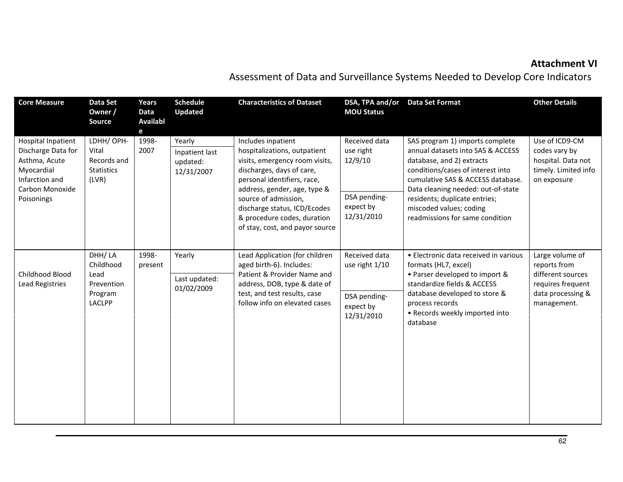# Attachment VI

Assessment of Data and Surveillance Systems Needed to Develop Core Indicators

| <b>Core Measure</b>                                                                                                               | Data Set<br>Owner /<br>Source                                         | Years<br>Data<br><b>Availabl</b><br>e | <b>Schedule</b><br><b>Updated</b>                  | <b>Characteristics of Dataset</b>                                                                                                                                                                                                                                                                          | DSA, TPA and/or<br><b>MOU Status</b>                                             | <b>Data Set Format</b>                                                                                                                                                                                                                                                                                           | <b>Other Details</b>                                                                                          |
|-----------------------------------------------------------------------------------------------------------------------------------|-----------------------------------------------------------------------|---------------------------------------|----------------------------------------------------|------------------------------------------------------------------------------------------------------------------------------------------------------------------------------------------------------------------------------------------------------------------------------------------------------------|----------------------------------------------------------------------------------|------------------------------------------------------------------------------------------------------------------------------------------------------------------------------------------------------------------------------------------------------------------------------------------------------------------|---------------------------------------------------------------------------------------------------------------|
| <b>Hospital Inpatient</b><br>Discharge Data for<br>Asthma, Acute<br>Myocardial<br>Infarction and<br>Carbon Monoxide<br>Poisonings | LDHH/OPH-<br>Vital<br>Records and<br><b>Statistics</b><br>(LVR)       | 1998-<br>2007                         | Yearly<br>Inpatient last<br>updated:<br>12/31/2007 | Includes inpatient<br>hospitalizations, outpatient<br>visits, emergency room visits,<br>discharges, days of care,<br>personal identifiers, race,<br>address, gender, age, type &<br>source of admission,<br>discharge status, ICD/Ecodes<br>& procedure codes, duration<br>of stay, cost, and payor source | Received data<br>use right<br>12/9/10<br>DSA pending-<br>expect by<br>12/31/2010 | SAS program 1) imports complete<br>annual datasets into SAS & ACCESS<br>database, and 2) extracts<br>conditions/cases of interest into<br>cumulative SAS & ACCESS database.<br>Data cleaning needed: out-of-state<br>residents; duplicate entries;<br>miscoded values; coding<br>readmissions for same condition | Use of ICD9-CM<br>codes vary by<br>hospital. Data not<br>timely. Limited info<br>on exposure                  |
| Childhood Blood<br>Lead Registries                                                                                                | DHH/LA<br>Childhood<br>Lead<br>Prevention<br>Program<br><b>LACLPP</b> | 1998-<br>present                      | Yearly<br>Last updated:<br>01/02/2009              | Lead Application (for children<br>aged birth-6). Includes:<br>Patient & Provider Name and<br>address, DOB, type & date of<br>test, and test results, case<br>follow info on elevated cases                                                                                                                 | Received data<br>use right 1/10<br>DSA pending-<br>expect by<br>12/31/2010       | • Electronic data received in various<br>formats (HL7, excel)<br>• Parser developed to import &<br>standardize fields & ACCESS<br>database developed to store &<br>process records<br>• Records weekly imported into<br>database                                                                                 | Large volume of<br>reports from<br>different sources<br>requires frequent<br>data processing &<br>management. |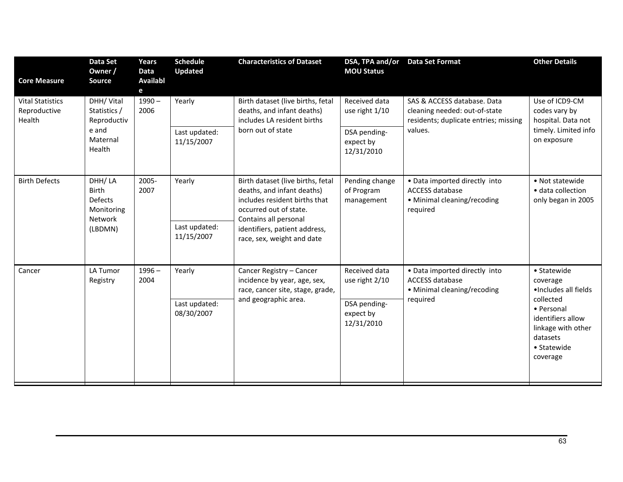| <b>Core Measure</b>                               | <b>Data Set</b><br>Owner /<br><b>Source</b>                                  | Years<br>Data<br><b>Availabl</b><br>e | <b>Schedule</b><br><b>Updated</b>     | <b>Characteristics of Dataset</b>                                                                                                                                                                                  | DSA, TPA and/or<br><b>MOU Status</b>                                       | <b>Data Set Format</b>                                                                                           | <b>Other Details</b>                                                                                                                                         |
|---------------------------------------------------|------------------------------------------------------------------------------|---------------------------------------|---------------------------------------|--------------------------------------------------------------------------------------------------------------------------------------------------------------------------------------------------------------------|----------------------------------------------------------------------------|------------------------------------------------------------------------------------------------------------------|--------------------------------------------------------------------------------------------------------------------------------------------------------------|
| <b>Vital Statistics</b><br>Reproductive<br>Health | DHH/ Vital<br>Statistics /<br>Reproductiv<br>e and<br>Maternal<br>Health     | $1990 -$<br>2006                      | Yearly<br>Last updated:<br>11/15/2007 | Birth dataset (live births, fetal<br>deaths, and infant deaths)<br>includes LA resident births<br>born out of state                                                                                                | Received data<br>use right 1/10<br>DSA pending-<br>expect by<br>12/31/2010 | SAS & ACCESS database. Data<br>cleaning needed: out-of-state<br>residents; duplicate entries; missing<br>values. | Use of ICD9-CM<br>codes vary by<br>hospital. Data not<br>timely. Limited info<br>on exposure                                                                 |
| <b>Birth Defects</b>                              | DHH/LA<br><b>Birth</b><br><b>Defects</b><br>Monitoring<br>Network<br>(LBDMN) | 2005-<br>2007                         | Yearly<br>Last updated:<br>11/15/2007 | Birth dataset (live births, fetal<br>deaths, and infant deaths)<br>includes resident births that<br>occurred out of state.<br>Contains all personal<br>identifiers, patient address,<br>race, sex, weight and date | Pending change<br>of Program<br>management                                 | • Data imported directly into<br>ACCESS database<br>• Minimal cleaning/recoding<br>required                      | • Not statewide<br>· data collection<br>only began in 2005                                                                                                   |
| Cancer                                            | LA Tumor<br>Registry                                                         | $1996 -$<br>2004                      | Yearly<br>Last updated:<br>08/30/2007 | Cancer Registry - Cancer<br>incidence by year, age, sex,<br>race, cancer site, stage, grade,<br>and geographic area.                                                                                               | Received data<br>use right 2/10<br>DSA pending-<br>expect by<br>12/31/2010 | • Data imported directly into<br>ACCESS database<br>• Minimal cleaning/recoding<br>required                      | • Statewide<br>coverage<br>·Includes all fields<br>collected<br>• Personal<br>identifiers allow<br>linkage with other<br>datasets<br>• Statewide<br>coverage |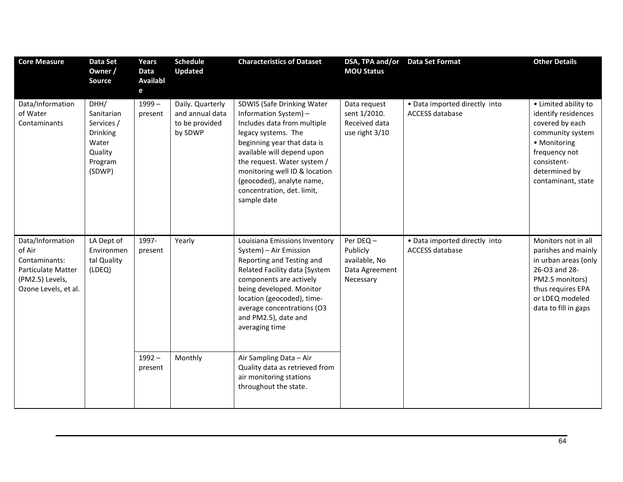| <b>Core Measure</b>                                                                                                 | <b>Data Set</b><br>Owner /<br><b>Source</b>                                           | Years<br>Data<br><b>Availabl</b><br>$\mathbf{e}$ | <b>Schedule</b><br><b>Updated</b>                                | <b>Characteristics of Dataset</b>                                                                                                                                                                                                                                                                                | DSA, TPA and/or<br><b>MOU Status</b>                                                                                                                                                                                                                                               | <b>Data Set Format</b>                                               | <b>Other Details</b>                                                                                                                                                      |                                                                                                                                                                        |
|---------------------------------------------------------------------------------------------------------------------|---------------------------------------------------------------------------------------|--------------------------------------------------|------------------------------------------------------------------|------------------------------------------------------------------------------------------------------------------------------------------------------------------------------------------------------------------------------------------------------------------------------------------------------------------|------------------------------------------------------------------------------------------------------------------------------------------------------------------------------------------------------------------------------------------------------------------------------------|----------------------------------------------------------------------|---------------------------------------------------------------------------------------------------------------------------------------------------------------------------|------------------------------------------------------------------------------------------------------------------------------------------------------------------------|
| Data/Information<br>of Water<br>Contaminants                                                                        | DHH/<br>Sanitarian<br>Services /<br>Drinking<br>Water<br>Quality<br>Program<br>(SDWP) | $1999-$<br>present                               | Daily. Quarterly<br>and annual data<br>to be provided<br>by SDWP | SDWIS (Safe Drinking Water<br>Information System) -<br>Includes data from multiple<br>legacy systems. The<br>beginning year that data is<br>available will depend upon<br>the request. Water system /<br>monitoring well ID & location<br>(geocoded), analyte name,<br>concentration, det. limit,<br>sample date | Data request<br>sent 1/2010.<br>Received data<br>use right 3/10                                                                                                                                                                                                                    | • Data imported directly into<br><b>ACCESS database</b>              | • Limited ability to<br>identify residences<br>covered by each<br>community system<br>• Monitoring<br>frequency not<br>consistent-<br>determined by<br>contaminant, state |                                                                                                                                                                        |
| Data/Information<br>of Air<br>Contaminants:<br><b>Particulate Matter</b><br>(PM2.5) Levels,<br>Ozone Levels, et al. | Environmen<br>tal Quality<br>(LDEQ)                                                   | LA Dept of                                       | 1997-<br>present                                                 | Yearly                                                                                                                                                                                                                                                                                                           | Louisiana Emissions Inventory<br>System) - Air Emission<br>Reporting and Testing and<br>Related Facility data [System<br>components are actively<br>being developed. Monitor<br>location (geocoded), time-<br>average concentrations (O3<br>and PM2.5), date and<br>averaging time | Per DEQ-<br>Publicly<br>available, No<br>Data Agreement<br>Necessary | • Data imported directly into<br><b>ACCESS database</b>                                                                                                                   | Monitors not in all<br>parishes and mainly<br>in urban areas (only<br>26-O3 and 28-<br>PM2.5 monitors)<br>thus requires EPA<br>or LDEQ modeled<br>data to fill in gaps |
|                                                                                                                     |                                                                                       | $1992 -$<br>present                              | Monthly                                                          | Air Sampling Data - Air<br>Quality data as retrieved from<br>air monitoring stations<br>throughout the state.                                                                                                                                                                                                    |                                                                                                                                                                                                                                                                                    |                                                                      |                                                                                                                                                                           |                                                                                                                                                                        |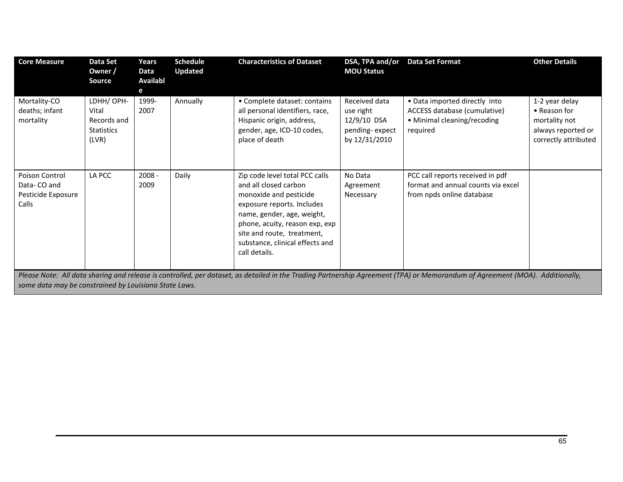| <b>Core Measure</b>                                          | Data Set<br>Owner /<br><b>Source</b>                             | Years<br>Data<br>Availabl<br>е | <b>Schedule</b><br><b>Updated</b> | <b>Characteristics of Dataset</b>                                                                                                                                                                                                                                 | DSA, TPA and/or<br><b>MOU Status</b>                                         | <b>Data Set Format</b>                                                                                                                                                       | <b>Other Details</b>                                                                          |
|--------------------------------------------------------------|------------------------------------------------------------------|--------------------------------|-----------------------------------|-------------------------------------------------------------------------------------------------------------------------------------------------------------------------------------------------------------------------------------------------------------------|------------------------------------------------------------------------------|------------------------------------------------------------------------------------------------------------------------------------------------------------------------------|-----------------------------------------------------------------------------------------------|
| Mortality-CO<br>deaths; infant<br>mortality                  | LDHH/ OPH-<br>Vital<br>Records and<br><b>Statistics</b><br>(LVR) | 1999-<br>2007                  | Annually                          | • Complete dataset: contains<br>all personal identifiers, race,<br>Hispanic origin, address,<br>gender, age, ICD-10 codes,<br>place of death                                                                                                                      | Received data<br>use right<br>12/9/10 DSA<br>pending-expect<br>by 12/31/2010 | • Data imported directly into<br>ACCESS database (cumulative)<br>• Minimal cleaning/recoding<br>required                                                                     | 1-2 year delay<br>• Reason for<br>mortality not<br>always reported or<br>correctly attributed |
| Poison Control<br>Data-CO and<br>Pesticide Exposure<br>Calls | LA PCC                                                           | $2008 -$<br>2009               | Daily                             | Zip code level total PCC calls<br>and all closed carbon<br>monoxide and pesticide<br>exposure reports. Includes<br>name, gender, age, weight,<br>phone, acuity, reason exp, exp<br>site and route, treatment,<br>substance, clinical effects and<br>call details. | No Data<br>Agreement<br>Necessary                                            | PCC call reports received in pdf<br>format and annual counts via excel<br>from npds online database                                                                          |                                                                                               |
|                                                              |                                                                  |                                |                                   |                                                                                                                                                                                                                                                                   |                                                                              | Please Note: All data sharing and release is controlled, per dataset, as detailed in the Trading Partnership Agreement (TPA) or Memorandum of Agreement (MOA). Additionally, |                                                                                               |

some data may be constrained by Louisiana State Laws.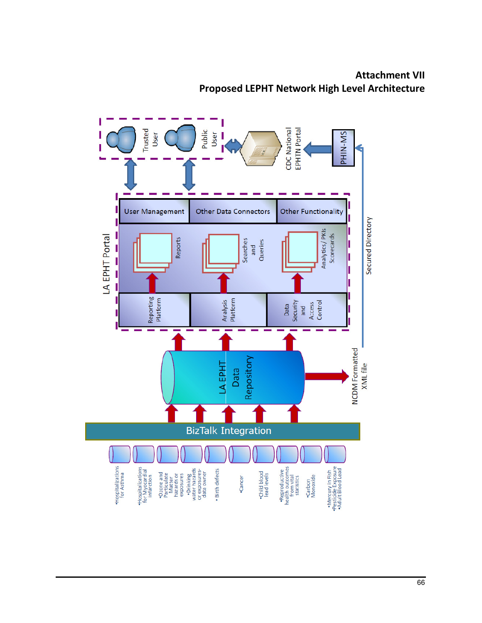Attachment VII Proposed LEPHT Network High Level Architecture

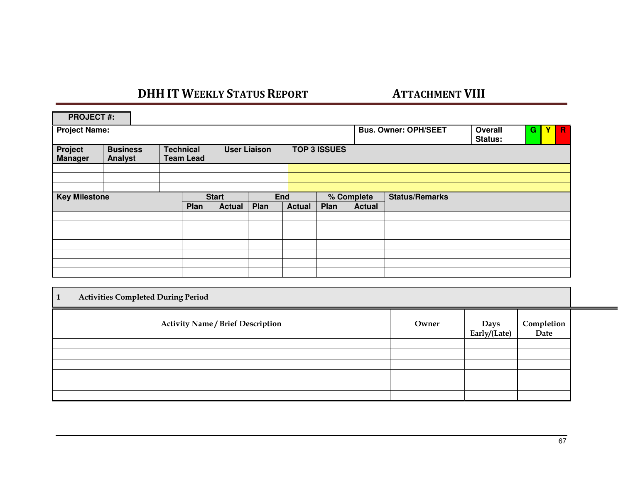# <u>DHH IT WEEKLY STATUS REPORT ATTACHMENT VIII</u>

| <b>PROJECT#:</b>           |  |  |                                              |               |                             |                             |                             |                       |                             |   |   |             |
|----------------------------|--|--|----------------------------------------------|---------------|-----------------------------|-----------------------------|-----------------------------|-----------------------|-----------------------------|---|---|-------------|
| <b>Project Name:</b>       |  |  |                                              |               |                             |                             |                             |                       | Overall<br>Status:          | G | Y | $\mathbf R$ |
| <b>Business</b><br>Analyst |  |  |                                              |               |                             |                             |                             |                       |                             |   |   |             |
|                            |  |  |                                              |               |                             |                             |                             |                       |                             |   |   |             |
| <b>Key Milestone</b>       |  |  | <b>Start</b>                                 |               |                             | % Complete                  |                             | <b>Status/Remarks</b> |                             |   |   |             |
|                            |  |  |                                              |               |                             |                             |                             |                       |                             |   |   |             |
|                            |  |  |                                              |               |                             |                             |                             |                       |                             |   |   |             |
|                            |  |  |                                              |               |                             |                             |                             |                       |                             |   |   |             |
|                            |  |  |                                              |               |                             |                             |                             |                       |                             |   |   |             |
|                            |  |  |                                              |               |                             |                             |                             |                       |                             |   |   |             |
|                            |  |  |                                              |               |                             |                             |                             |                       |                             |   |   |             |
|                            |  |  |                                              |               |                             |                             |                             |                       |                             |   |   |             |
|                            |  |  | <b>Technical</b><br><b>Team Lead</b><br>Plan | <b>Actual</b> | <b>User Liaison</b><br>Plan | <b>End</b><br><b>Actual</b> | <b>TOP 3 ISSUES</b><br>Plan | <b>Actual</b>         | <b>Bus. Owner: OPH/SEET</b> |   |   |             |

| <b>Activities Completed During Period</b><br>1 |       |                      |                    |  |  |  |
|------------------------------------------------|-------|----------------------|--------------------|--|--|--|
| <b>Activity Name / Brief Description</b>       | Owner | Days<br>Early/(Late) | Completion<br>Date |  |  |  |
|                                                |       |                      |                    |  |  |  |
|                                                |       |                      |                    |  |  |  |
|                                                |       |                      |                    |  |  |  |
|                                                |       |                      |                    |  |  |  |
|                                                |       |                      |                    |  |  |  |
|                                                |       |                      |                    |  |  |  |